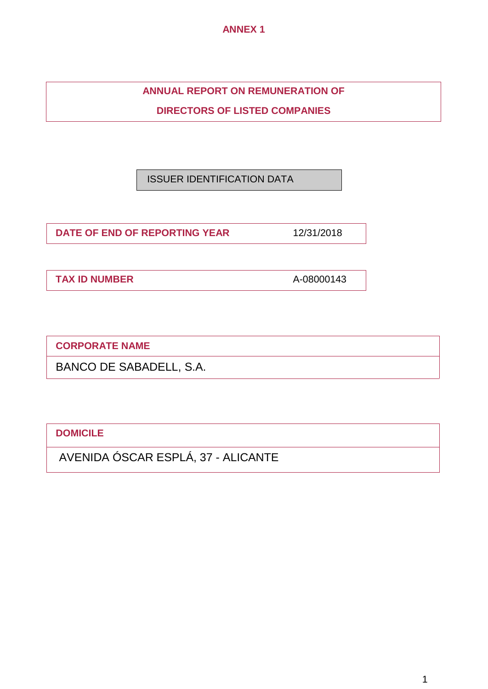**ANNEX 1**

**ANNUAL REPORT ON REMUNERATION OF**

**DIRECTORS OF LISTED COMPANIES**

ISSUER IDENTIFICATION DATA

**DATE OF END OF REPORTING YEAR** 12/31/2018

**TAX ID NUMBER** A-08000143

**CORPORATE NAME**

BANCO DE SABADELL, S.A.

**DOMICILE**

AVENIDA ÓSCAR ESPLÁ, 37 - ALICANTE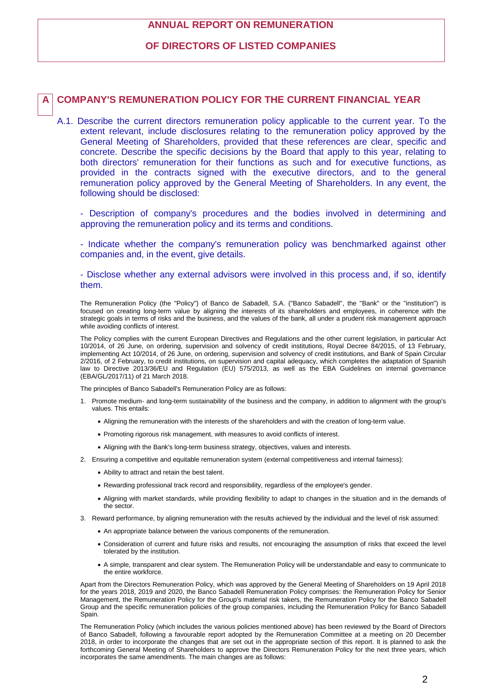## **ANNUAL REPORT ON REMUNERATION**

### **OF DIRECTORS OF LISTED COMPANIES**

### **A COMPANY'S REMUNERATION POLICY FOR THE CURRENT FINANCIAL YEAR**

A.1. Describe the current directors remuneration policy applicable to the current year. To the extent relevant, include disclosures relating to the remuneration policy approved by the General Meeting of Shareholders, provided that these references are clear, specific and concrete. Describe the specific decisions by the Board that apply to this year, relating to both directors' remuneration for their functions as such and for executive functions, as provided in the contracts signed with the executive directors, and to the general remuneration policy approved by the General Meeting of Shareholders. In any event, the following should be disclosed:

- Description of company's procedures and the bodies involved in determining and approving the remuneration policy and its terms and conditions.

- Indicate whether the company's remuneration policy was benchmarked against other companies and, in the event, give details.

- Disclose whether any external advisors were involved in this process and, if so, identify them.

The Remuneration Policy (the "Policy") of Banco de Sabadell, S.A. ("Banco Sabadell", the "Bank" or the "institution") is focused on creating long-term value by aligning the interests of its shareholders and employees, in coherence with the strategic goals in terms of risks and the business, and the values of the bank, all under a prudent risk management approach while avoiding conflicts of interest.

The Policy complies with the current European Directives and Regulations and the other current legislation, in particular Act 10/2014, of 26 June, on ordering, supervision and solvency of credit institutions, Royal Decree 84/2015, of 13 February, implementing Act 10/2014, of 26 June, on ordering, supervision and solvency of credit institutions, and Bank of Spain Circular 2/2016, of 2 February, to credit institutions, on supervision and capital adequacy, which completes the adaptation of Spanish law to Directive 2013/36/EU and Regulation (EU) 575/2013, as well as the EBA Guidelines on internal governance (EBA/GL/2017/11) of 21 March 2018.

The principles of Banco Sabadell's Remuneration Policy are as follows:

- 1. Promote medium- and long-term sustainability of the business and the company, in addition to alignment with the group's values. This entails:
	- Aligning the remuneration with the interests of the shareholders and with the creation of long-term value.
	- Promoting rigorous risk management, with measures to avoid conflicts of interest.
	- Aligning with the Bank's long-term business strategy, objectives, values and interests.
- 2. Ensuring a competitive and equitable remuneration system (external competitiveness and internal fairness):
	- Ability to attract and retain the best talent.
	- Rewarding professional track record and responsibility, regardless of the employee's gender.
	- Aligning with market standards, while providing flexibility to adapt to changes in the situation and in the demands of the sector.
- 3. Reward performance, by aligning remuneration with the results achieved by the individual and the level of risk assumed:
	- An appropriate balance between the various components of the remuneration.
	- Consideration of current and future risks and results, not encouraging the assumption of risks that exceed the level tolerated by the institution.
	- A simple, transparent and clear system. The Remuneration Policy will be understandable and easy to communicate to the entire workforce.

Apart from the Directors Remuneration Policy, which was approved by the General Meeting of Shareholders on 19 April 2018 for the years 2018, 2019 and 2020, the Banco Sabadell Remuneration Policy comprises: the Remuneration Policy for Senior Management, the Remuneration Policy for the Group's material risk takers, the Remuneration Policy for the Banco Sabadell Group and the specific remuneration policies of the group companies, including the Remuneration Policy for Banco Sabadell Spain.

The Remuneration Policy (which includes the various policies mentioned above) has been reviewed by the Board of Directors of Banco Sabadell, following a favourable report adopted by the Remuneration Committee at a meeting on 20 December 2018, in order to incorporate the changes that are set out in the appropriate section of this report. It is planned to ask the forthcoming General Meeting of Shareholders to approve the Directors Remuneration Policy for the next three years, which incorporates the same amendments. The main changes are as follows: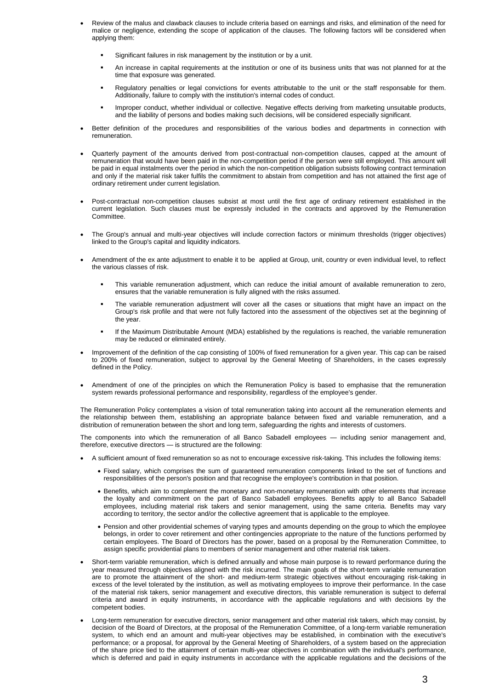- Review of the malus and clawback clauses to include criteria based on earnings and risks, and elimination of the need for malice or negligence, extending the scope of application of the clauses. The following factors will be considered when applying them:
	- Significant failures in risk management by the institution or by a unit.
	- An increase in capital requirements at the institution or one of its business units that was not planned for at the time that exposure was generated.
	- Regulatory penalties or legal convictions for events attributable to the unit or the staff responsable for them. Additionally, failure to comply with the institution's internal codes of conduct.
	- **Improper conduct, whether individual or collective. Negative effects deriving from marketing unsuitable products,** and the liability of persons and bodies making such decisions, will be considered especially significant.
- Better definition of the procedures and responsibilities of the various bodies and departments in connection with remuneration.
- Quarterly payment of the amounts derived from post-contractual non-competition clauses, capped at the amount of remuneration that would have been paid in the non-competition period if the person were still employed. This amount will be paid in equal instalments over the period in which the non-competition obligation subsists following contract termination and only if the material risk taker fulfils the commitment to abstain from competition and has not attained the first age of ordinary retirement under current legislation.
- Post-contractual non-competition clauses subsist at most until the first age of ordinary retirement established in the current legislation. Such clauses must be expressly included in the contracts and approved by the Remuneration Committee.
- The Group's annual and multi-year objectives will include correction factors or minimum thresholds (trigger objectives) linked to the Group's capital and liquidity indicators.
- Amendment of the ex ante adjustment to enable it to be applied at Group, unit, country or even individual level, to reflect the various classes of risk.
	- This variable remuneration adjustment, which can reduce the initial amount of available remuneration to zero, ensures that the variable remuneration is fully aligned with the risks assumed.
	- The variable remuneration adjustment will cover all the cases or situations that might have an impact on the Group's risk profile and that were not fully factored into the assessment of the objectives set at the beginning of the year.
	- If the Maximum Distributable Amount (MDA) established by the regulations is reached, the variable remuneration may be reduced or eliminated entirely.
- Improvement of the definition of the cap consisting of 100% of fixed remuneration for a given year. This cap can be raised to 200% of fixed remuneration, subject to approval by the General Meeting of Shareholders, in the cases expressly defined in the Policy.
- Amendment of one of the principles on which the Remuneration Policy is based to emphasise that the remuneration system rewards professional performance and responsibility, regardless of the employee's gender.

The Remuneration Policy contemplates a vision of total remuneration taking into account all the remuneration elements and the relationship between them, establishing an appropriate balance between fixed and variable remuneration, and a distribution of remuneration between the short and long term, safeguarding the rights and interests of customers.

The components into which the remuneration of all Banco Sabadell employees — including senior management and, therefore, executive directors — is structured are the following:

- A sufficient amount of fixed remuneration so as not to encourage excessive risk-taking. This includes the following items:
	- Fixed salary, which comprises the sum of guaranteed remuneration components linked to the set of functions and responsibilities of the person's position and that recognise the employee's contribution in that position.
	- Benefits, which aim to complement the monetary and non-monetary remuneration with other elements that increase the loyalty and commitment on the part of Banco Sabadell employees. Benefits apply to all Banco Sabadell employees, including material risk takers and senior management, using the same criteria. Benefits may vary according to territory, the sector and/or the collective agreement that is applicable to the employee.
	- Pension and other providential schemes of varying types and amounts depending on the group to which the employee belongs, in order to cover retirement and other contingencies appropriate to the nature of the functions performed by certain employees. The Board of Directors has the power, based on a proposal by the Remuneration Committee, to assign specific providential plans to members of senior management and other material risk takers.
- Short-term variable remuneration, which is defined annually and whose main purpose is to reward performance during the year measured through objectives aligned with the risk incurred. The main goals of the short-term variable remuneration are to promote the attainment of the short- and medium-term strategic objectives without encouraging risk-taking in excess of the level tolerated by the institution, as well as motivating employees to improve their performance. In the case of the material risk takers, senior management and executive directors, this variable remuneration is subject to deferral criteria and award in equity instruments, in accordance with the applicable regulations and with decisions by the competent bodies.
- Long-term remuneration for executive directors, senior management and other material risk takers, which may consist, by decision of the Board of Directors, at the proposal of the Remuneration Committee, of a long-term variable remuneration system, to which end an amount and multi-year objectives may be established, in combination with the executive's performance; or a proposal, for approval by the General Meeting of Shareholders, of a system based on the appreciation of the share price tied to the attainment of certain multi-year objectives in combination with the individual's performance, which is deferred and paid in equity instruments in accordance with the applicable regulations and the decisions of the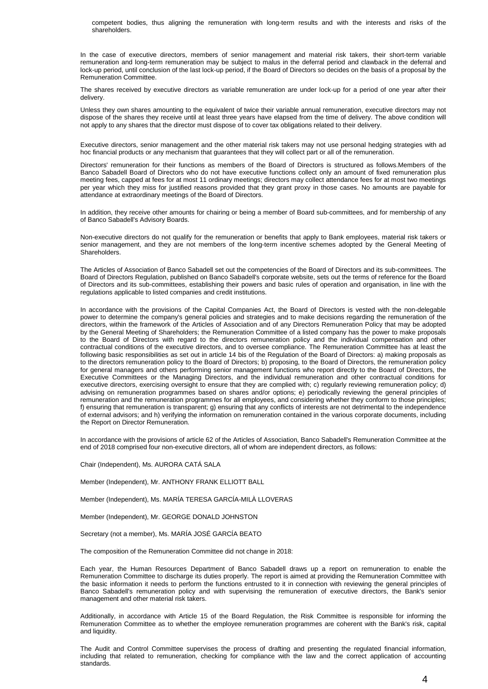competent bodies, thus aligning the remuneration with long-term results and with the interests and risks of the shareholders.

In the case of executive directors, members of senior management and material risk takers, their short-term variable remuneration and long-term remuneration may be subject to malus in the deferral period and clawback in the deferral and lock-up period, until conclusion of the last lock-up period, if the Board of Directors so decides on the basis of a proposal by the Remuneration Committee.

The shares received by executive directors as variable remuneration are under lock-up for a period of one year after their delivery.

Unless they own shares amounting to the equivalent of twice their variable annual remuneration, executive directors may not dispose of the shares they receive until at least three years have elapsed from the time of delivery. The above condition will not apply to any shares that the director must dispose of to cover tax obligations related to their delivery.

Executive directors, senior management and the other material risk takers may not use personal hedging strategies with ad hoc financial products or any mechanism that guarantees that they will collect part or all of the remuneration.

Directors' remuneration for their functions as members of the Board of Directors is structured as follows.Members of the Banco Sabadell Board of Directors who do not have executive functions collect only an amount of fixed remuneration plus meeting fees, capped at fees for at most 11 ordinary meetings; directors may collect attendance fees for at most two meetings per year which they miss for justified reasons provided that they grant proxy in those cases. No amounts are payable for attendance at extraordinary meetings of the Board of Directors.

In addition, they receive other amounts for chairing or being a member of Board sub-committees, and for membership of any of Banco Sabadell's Advisory Boards.

Non-executive directors do not qualify for the remuneration or benefits that apply to Bank employees, material risk takers or senior management, and they are not members of the long-term incentive schemes adopted by the General Meeting of Shareholders.

The Articles of Association of Banco Sabadell set out the competencies of the Board of Directors and its sub-committees. The Board of Directors Regulation, published on Banco Sabadell's corporate website, sets out the terms of reference for the Board of Directors and its sub-committees, establishing their powers and basic rules of operation and organisation, in line with the regulations applicable to listed companies and credit institutions.

In accordance with the provisions of the Capital Companies Act, the Board of Directors is vested with the non-delegable power to determine the company's general policies and strategies and to make decisions regarding the remuneration of the directors, within the framework of the Articles of Association and of any Directors Remuneration Policy that may be adopted by the General Meeting of Shareholders; the Remuneration Committee of a listed company has the power to make proposals to the Board of Directors with regard to the directors remuneration policy and the individual compensation and other contractual conditions of the executive directors, and to oversee compliance. The Remuneration Committee has at least the following basic responsibilities as set out in article 14 bis of the Regulation of the Board of Directors: a) making proposals as to the directors remuneration policy to the Board of Directors; b) proposing, to the Board of Directors, the remuneration policy for general managers and others performing senior management functions who report directly to the Board of Directors, the Executive Committees or the Managing Directors, and the individual remuneration and other contractual conditions for executive directors, exercising oversight to ensure that they are complied with; c) regularly reviewing remuneration policy; d) advising on remuneration programmes based on shares and/or options; e) periodically reviewing the general principles of remuneration and the remuneration programmes for all employees, and considering whether they conform to those principles; f) ensuring that remuneration is transparent; g) ensuring that any conflicts of interests are not detrimental to the independence of external advisors; and h) verifying the information on remuneration contained in the various corporate documents, including the Report on Director Remuneration.

In accordance with the provisions of article 62 of the Articles of Association, Banco Sabadell's Remuneration Committee at the end of 2018 comprised four non-executive directors, all of whom are independent directors, as follows:

Chair (Independent), Ms. AURORA CATÁ SALA

Member (Independent), Mr. ANTHONY FRANK ELLIOTT BALL

Member (Independent), Ms. MARÍA TERESA GARCÍA-MILÀ LLOVERAS

Member (Independent), Mr. GEORGE DONALD JOHNSTON

Secretary (not a member), Ms. MARÍA JOSÉ GARCÍA BEATO

The composition of the Remuneration Committee did not change in 2018:

Each year, the Human Resources Department of Banco Sabadell draws up a report on remuneration to enable the Remuneration Committee to discharge its duties properly. The report is aimed at providing the Remuneration Committee with the basic information it needs to perform the functions entrusted to it in connection with reviewing the general principles of Banco Sabadell's remuneration policy and with supervising the remuneration of executive directors, the Bank's senior management and other material risk takers.

Additionally, in accordance with Article 15 of the Board Regulation, the Risk Committee is responsible for informing the Remuneration Committee as to whether the employee remuneration programmes are coherent with the Bank's risk, capital and liquidity.

The Audit and Control Committee supervises the process of drafting and presenting the regulated financial information, including that related to remuneration, checking for compliance with the law and the correct application of accounting standards.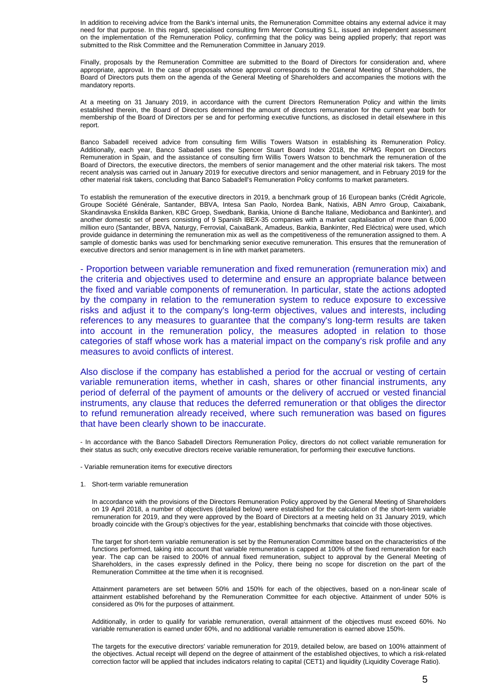In addition to receiving advice from the Bank's internal units, the Remuneration Committee obtains any external advice it may need for that purpose. In this regard, specialised consulting firm Mercer Consulting S.L. issued an independent assessment on the implementation of the Remuneration Policy, confirming that the policy was being applied properly; that report was submitted to the Risk Committee and the Remuneration Committee in January 2019.

Finally, proposals by the Remuneration Committee are submitted to the Board of Directors for consideration and, where appropriate, approval. In the case of proposals whose approval corresponds to the General Meeting of Shareholders, the Board of Directors puts them on the agenda of the General Meeting of Shareholders and accompanies the motions with the mandatory reports.

At a meeting on 31 January 2019, in accordance with the current Directors Remuneration Policy and within the limits established therein, the Board of Directors determined the amount of directors remuneration for the current year both for membership of the Board of Directors per se and for performing executive functions, as disclosed in detail elsewhere in this report.

Banco Sabadell received advice from consulting firm Willis Towers Watson in establishing its Remuneration Policy. Additionally, each year, Banco Sabadell uses the Spencer Stuart Board Index 2018, the KPMG Report on Directors Remuneration in Spain, and the assistance of consulting firm Willis Towers Watson to benchmark the remuneration of the Board of Directors, the executive directors, the members of senior management and the other material risk takers. The most recent analysis was carried out in January 2019 for executive directors and senior management, and in February 2019 for the other material risk takers, concluding that Banco Sabadell's Remuneration Policy conforms to market parameters.

To establish the remuneration of the executive directors in 2019, a benchmark group of 16 European banks (Crédit Agricole, Groupe Société Générale, Santander, BBVA, Intesa San Paolo, Nordea Bank, Natixis, ABN Amro Group, Caixabank, Skandinavska Enskilda Banken, KBC Groep, Swedbank, Bankia, Unione di Banche Italiane, Mediobanca and Bankinter), and another domestic set of peers consisting of 9 Spanish IBEX-35 companies with a market capitalisation of more than 6,000 million euro (Santander, BBVA, Naturgy, Ferrovial, CaixaBank, Amadeus, Bankia, Bankinter, Red Eléctrica) were used, which provide guidance in determining the remuneration mix as well as the competitiveness of the remuneration assigned to them. A sample of domestic banks was used for benchmarking senior executive remuneration. This ensures that the remuneration of executive directors and senior management is in line with market parameters.

- Proportion between variable remuneration and fixed remuneration (remuneration mix) and the criteria and objectives used to determine and ensure an appropriate balance between the fixed and variable components of remuneration. In particular, state the actions adopted by the company in relation to the remuneration system to reduce exposure to excessive risks and adjust it to the company's long-term objectives, values and interests, including references to any measures to guarantee that the company's long-term results are taken into account in the remuneration policy, the measures adopted in relation to those categories of staff whose work has a material impact on the company's risk profile and any measures to avoid conflicts of interest.

Also disclose if the company has established a period for the accrual or vesting of certain variable remuneration items, whether in cash, shares or other financial instruments, any period of deferral of the payment of amounts or the delivery of accrued or vested financial instruments, any clause that reduces the deferred remuneration or that obliges the director to refund remuneration already received, where such remuneration was based on figures that have been clearly shown to be inaccurate.

- In accordance with the Banco Sabadell Directors Remuneration Policy, directors do not collect variable remuneration for their status as such; only executive directors receive variable remuneration, for performing their executive functions.

- Variable remuneration items for executive directors

1. Short-term variable remuneration

In accordance with the provisions of the Directors Remuneration Policy approved by the General Meeting of Shareholders on 19 April 2018, a number of objectives (detailed below) were established for the calculation of the short-term variable remuneration for 2019, and they were approved by the Board of Directors at a meeting held on 31 January 2019, which broadly coincide with the Group's objectives for the year, establishing benchmarks that coincide with those objectives.

The target for short-term variable remuneration is set by the Remuneration Committee based on the characteristics of the functions performed, taking into account that variable remuneration is capped at 100% of the fixed remuneration for each year. The cap can be raised to 200% of annual fixed remuneration, subject to approval by the General Meeting of Shareholders, in the cases expressly defined in the Policy, there being no scope for discretion on the part of the Remuneration Committee at the time when it is recognised.

Attainment parameters are set between 50% and 150% for each of the objectives, based on a non-linear scale of attainment established beforehand by the Remuneration Committee for each objective. Attainment of under 50% is considered as 0% for the purposes of attainment.

Additionally, in order to qualify for variable remuneration, overall attainment of the objectives must exceed 60%. No variable remuneration is earned under 60%, and no additional variable remuneration is earned above 150%.

The targets for the executive directors' variable remuneration for 2019, detailed below, are based on 100% attainment of the objectives. Actual receipt will depend on the degree of attainment of the established objectives, to which a risk-related correction factor will be applied that includes indicators relating to capital (CET1) and liquidity (Liquidity Coverage Ratio).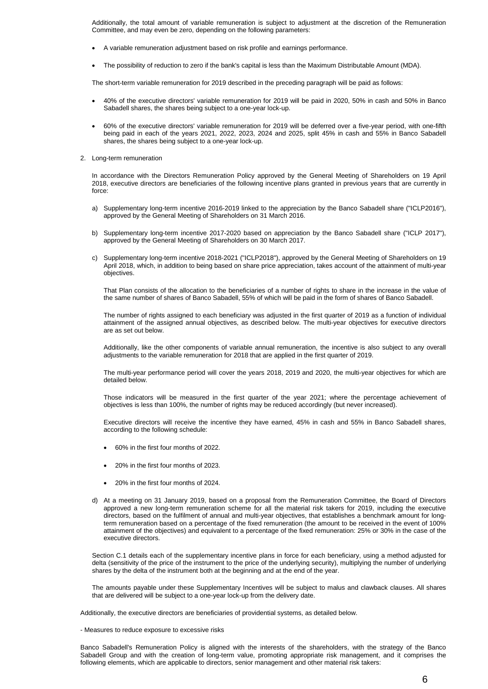Additionally, the total amount of variable remuneration is subject to adjustment at the discretion of the Remuneration Committee, and may even be zero, depending on the following parameters:

- A variable remuneration adjustment based on risk profile and earnings performance.
- The possibility of reduction to zero if the bank's capital is less than the Maximum Distributable Amount (MDA).

The short-term variable remuneration for 2019 described in the preceding paragraph will be paid as follows:

- 40% of the executive directors' variable remuneration for 2019 will be paid in 2020, 50% in cash and 50% in Banco Sabadell shares, the shares being subject to a one-year lock-up.
- 60% of the executive directors' variable remuneration for 2019 will be deferred over a five-year period, with one-fifth being paid in each of the years 2021, 2022, 2023, 2024 and 2025, split 45% in cash and 55% in Banco Sabadell shares, the shares being subject to a one-year lock-up.
- 2. Long-term remuneration

In accordance with the Directors Remuneration Policy approved by the General Meeting of Shareholders on 19 April 2018, executive directors are beneficiaries of the following incentive plans granted in previous years that are currently in force:

- a) Supplementary long-term incentive 2016-2019 linked to the appreciation by the Banco Sabadell share ("ICLP2016"), approved by the General Meeting of Shareholders on 31 March 2016.
- b) Supplementary long-term incentive 2017-2020 based on appreciation by the Banco Sabadell share ("ICLP 2017"), approved by the General Meeting of Shareholders on 30 March 2017.
- c) Supplementary long-term incentive 2018-2021 ("ICLP2018"), approved by the General Meeting of Shareholders on 19 April 2018, which, in addition to being based on share price appreciation, takes account of the attainment of multi-year objectives.

That Plan consists of the allocation to the beneficiaries of a number of rights to share in the increase in the value of the same number of shares of Banco Sabadell, 55% of which will be paid in the form of shares of Banco Sabadell.

The number of rights assigned to each beneficiary was adjusted in the first quarter of 2019 as a function of individual attainment of the assigned annual objectives, as described below. The multi-year objectives for executive directors are as set out below.

Additionally, like the other components of variable annual remuneration, the incentive is also subject to any overall adjustments to the variable remuneration for 2018 that are applied in the first quarter of 2019.

The multi-year performance period will cover the years 2018, 2019 and 2020, the multi-year objectives for which are detailed below.

Those indicators will be measured in the first quarter of the year 2021; where the percentage achievement of objectives is less than 100%, the number of rights may be reduced accordingly (but never increased).

Executive directors will receive the incentive they have earned, 45% in cash and 55% in Banco Sabadell shares, according to the following schedule:

- 60% in the first four months of 2022.
- 20% in the first four months of 2023.
- 20% in the first four months of 2024.
- d) At a meeting on 31 January 2019, based on a proposal from the Remuneration Committee, the Board of Directors approved a new long-term remuneration scheme for all the material risk takers for 2019, including the executive directors, based on the fulfilment of annual and multi-year objectives, that establishes a benchmark amount for longterm remuneration based on a percentage of the fixed remuneration (the amount to be received in the event of 100% attainment of the objectives) and equivalent to a percentage of the fixed remuneration: 25% or 30% in the case of the executive directors.

Section C.1 details each of the supplementary incentive plans in force for each beneficiary, using a method adjusted for delta (sensitivity of the price of the instrument to the price of the underlying security), multiplying the number of underlying shares by the delta of the instrument both at the beginning and at the end of the year.

The amounts payable under these Supplementary Incentives will be subject to malus and clawback clauses. All shares that are delivered will be subject to a one-year lock-up from the delivery date.

Additionally, the executive directors are beneficiaries of providential systems, as detailed below.

- Measures to reduce exposure to excessive risks

Banco Sabadell's Remuneration Policy is aligned with the interests of the shareholders, with the strategy of the Banco Sabadell Group and with the creation of long-term value, promoting appropriate risk management, and it comprises the following elements, which are applicable to directors, senior management and other material risk takers: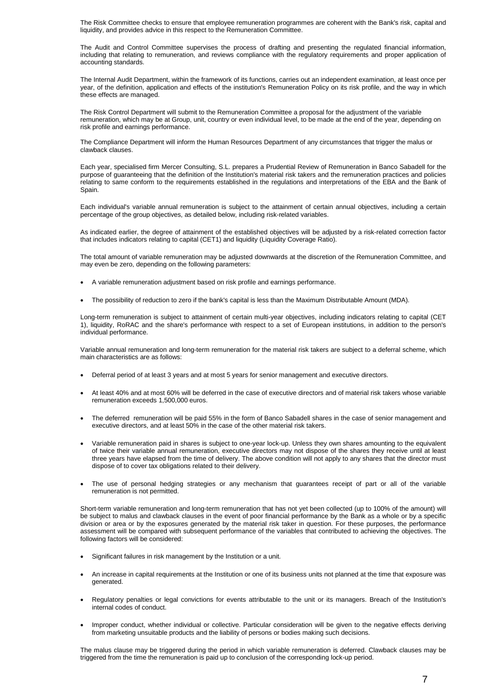The Risk Committee checks to ensure that employee remuneration programmes are coherent with the Bank's risk, capital and liquidity, and provides advice in this respect to the Remuneration Committee.

The Audit and Control Committee supervises the process of drafting and presenting the regulated financial information, including that relating to remuneration, and reviews compliance with the regulatory requirements and proper application of accounting standards.

The Internal Audit Department, within the framework of its functions, carries out an independent examination, at least once per year, of the definition, application and effects of the institution's Remuneration Policy on its risk profile, and the way in which these effects are managed.

The Risk Control Department will submit to the Remuneration Committee a proposal for the adjustment of the variable remuneration, which may be at Group, unit, country or even individual level, to be made at the end of the year, depending on risk profile and earnings performance.

The Compliance Department will inform the Human Resources Department of any circumstances that trigger the malus or clawback clauses.

Each year, specialised firm Mercer Consulting, S.L. prepares a Prudential Review of Remuneration in Banco Sabadell for the purpose of guaranteeing that the definition of the Institution's material risk takers and the remuneration practices and policies relating to same conform to the requirements established in the regulations and interpretations of the EBA and the Bank of Spain.

Each individual's variable annual remuneration is subject to the attainment of certain annual objectives, including a certain percentage of the group objectives, as detailed below, including risk-related variables.

As indicated earlier, the degree of attainment of the established objectives will be adjusted by a risk-related correction factor that includes indicators relating to capital (CET1) and liquidity (Liquidity Coverage Ratio).

The total amount of variable remuneration may be adjusted downwards at the discretion of the Remuneration Committee, and may even be zero, depending on the following parameters:

- A variable remuneration adjustment based on risk profile and earnings performance.
- The possibility of reduction to zero if the bank's capital is less than the Maximum Distributable Amount (MDA).

Long-term remuneration is subject to attainment of certain multi-year objectives, including indicators relating to capital (CET 1), liquidity, RoRAC and the share's performance with respect to a set of European institutions, in addition to the person's individual performance.

Variable annual remuneration and long-term remuneration for the material risk takers are subject to a deferral scheme, which main characteristics are as follows:

- Deferral period of at least 3 years and at most 5 years for senior management and executive directors.
- At least 40% and at most 60% will be deferred in the case of executive directors and of material risk takers whose variable remuneration exceeds 1,500,000 euros.
- The deferred remuneration will be paid 55% in the form of Banco Sabadell shares in the case of senior management and executive directors, and at least 50% in the case of the other material risk takers.
- Variable remuneration paid in shares is subject to one-year lock-up. Unless they own shares amounting to the equivalent of twice their variable annual remuneration, executive directors may not dispose of the shares they receive until at least three years have elapsed from the time of delivery. The above condition will not apply to any shares that the director must dispose of to cover tax obligations related to their delivery.
- The use of personal hedging strategies or any mechanism that guarantees receipt of part or all of the variable remuneration is not permitted.

Short-term variable remuneration and long-term remuneration that has not yet been collected (up to 100% of the amount) will be subject to malus and clawback clauses in the event of poor financial performance by the Bank as a whole or by a specific division or area or by the exposures generated by the material risk taker in question. For these purposes, the performance assessment will be compared with subsequent performance of the variables that contributed to achieving the objectives. The following factors will be considered:

- Significant failures in risk management by the Institution or a unit.
- An increase in capital requirements at the Institution or one of its business units not planned at the time that exposure was generated.
- Regulatory penalties or legal convictions for events attributable to the unit or its managers. Breach of the Institution's internal codes of conduct.
- Improper conduct, whether individual or collective. Particular consideration will be given to the negative effects deriving from marketing unsuitable products and the liability of persons or bodies making such decisions.

The malus clause may be triggered during the period in which variable remuneration is deferred. Clawback clauses may be triggered from the time the remuneration is paid up to conclusion of the corresponding lock-up period.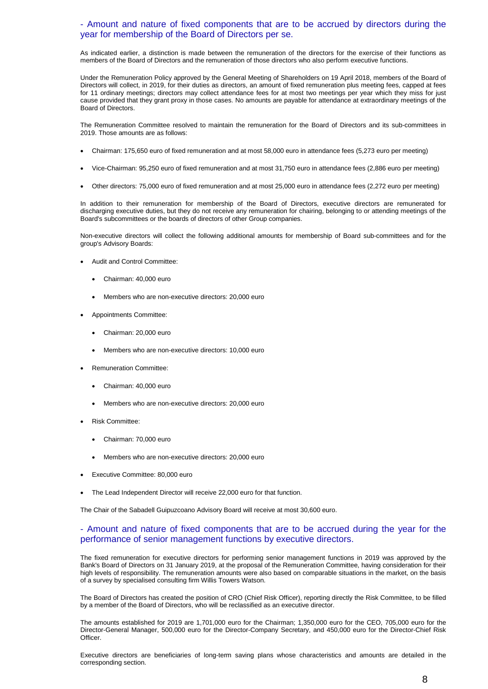#### - Amount and nature of fixed components that are to be accrued by directors during the year for membership of the Board of Directors per se.

As indicated earlier, a distinction is made between the remuneration of the directors for the exercise of their functions as members of the Board of Directors and the remuneration of those directors who also perform executive functions.

Under the Remuneration Policy approved by the General Meeting of Shareholders on 19 April 2018, members of the Board of Directors will collect, in 2019, for their duties as directors, an amount of fixed remuneration plus meeting fees, capped at fees for 11 ordinary meetings; directors may collect attendance fees for at most two meetings per year which they miss for just cause provided that they grant proxy in those cases. No amounts are payable for attendance at extraordinary meetings of the Board of Directors.

The Remuneration Committee resolved to maintain the remuneration for the Board of Directors and its sub-committees in 2019. Those amounts are as follows:

- Chairman: 175,650 euro of fixed remuneration and at most 58,000 euro in attendance fees (5,273 euro per meeting)
- Vice-Chairman: 95,250 euro of fixed remuneration and at most 31,750 euro in attendance fees (2,886 euro per meeting)
- Other directors: 75,000 euro of fixed remuneration and at most 25,000 euro in attendance fees (2,272 euro per meeting)

In addition to their remuneration for membership of the Board of Directors, executive directors are remunerated for discharging executive duties, but they do not receive any remuneration for chairing, belonging to or attending meetings of the Board's subcommittees or the boards of directors of other Group companies.

Non-executive directors will collect the following additional amounts for membership of Board sub-committees and for the group's Advisory Boards:

- Audit and Control Committee:
	- Chairman: 40,000 euro
	- Members who are non-executive directors: 20,000 euro
- Appointments Committee:
	- Chairman: 20,000 euro
	- Members who are non-executive directors: 10,000 euro
- Remuneration Committee:
	- Chairman: 40,000 euro
	- Members who are non-executive directors: 20,000 euro
- Risk Committee:
	- Chairman: 70,000 euro
	- Members who are non-executive directors: 20,000 euro
- Executive Committee: 80,000 euro
- The Lead Independent Director will receive 22,000 euro for that function.

The Chair of the Sabadell Guipuzcoano Advisory Board will receive at most 30,600 euro.

#### - Amount and nature of fixed components that are to be accrued during the year for the performance of senior management functions by executive directors.

The fixed remuneration for executive directors for performing senior management functions in 2019 was approved by the Bank's Board of Directors on 31 January 2019, at the proposal of the Remuneration Committee, having consideration for their high levels of responsibility. The remuneration amounts were also based on comparable situations in the market, on the basis of a survey by specialised consulting firm Willis Towers Watson.

The Board of Directors has created the position of CRO (Chief Risk Officer), reporting directly the Risk Committee, to be filled by a member of the Board of Directors, who will be reclassified as an executive director.

The amounts established for 2019 are 1,701,000 euro for the Chairman; 1,350,000 euro for the CEO, 705,000 euro for the Director-General Manager, 500,000 euro for the Director-Company Secretary, and 450,000 euro for the Director-Chief Risk Officer.

Executive directors are beneficiaries of long-term saving plans whose characteristics and amounts are detailed in the corresponding section.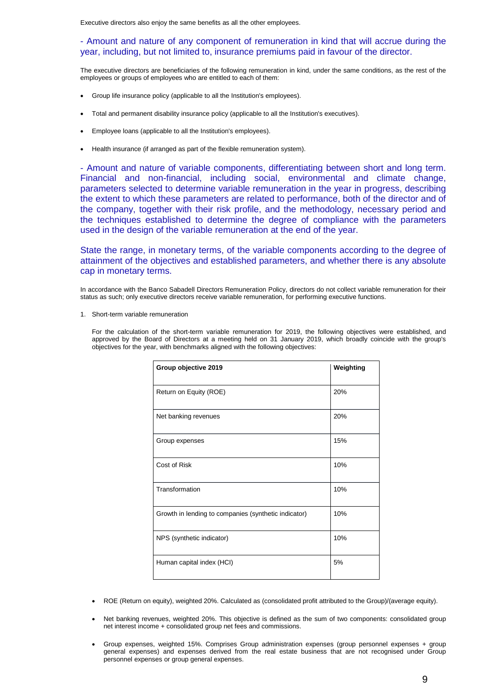Executive directors also enjoy the same benefits as all the other employees.

#### - Amount and nature of any component of remuneration in kind that will accrue during the year, including, but not limited to, insurance premiums paid in favour of the director.

The executive directors are beneficiaries of the following remuneration in kind, under the same conditions, as the rest of the employees or groups of employees who are entitled to each of them:

- Group life insurance policy (applicable to all the Institution's employees).
- Total and permanent disability insurance policy (applicable to all the Institution's executives).
- Employee loans (applicable to all the Institution's employees).
- Health insurance (if arranged as part of the flexible remuneration system).

- Amount and nature of variable components, differentiating between short and long term. Financial and non-financial, including social, environmental and climate change, parameters selected to determine variable remuneration in the year in progress, describing the extent to which these parameters are related to performance, both of the director and of the company, together with their risk profile, and the methodology, necessary period and the techniques established to determine the degree of compliance with the parameters used in the design of the variable remuneration at the end of the year.

State the range, in monetary terms, of the variable components according to the degree of attainment of the objectives and established parameters, and whether there is any absolute cap in monetary terms.

In accordance with the Banco Sabadell Directors Remuneration Policy, directors do not collect variable remuneration for their status as such; only executive directors receive variable remuneration, for performing executive functions.

1. Short-term variable remuneration

For the calculation of the short-term variable remuneration for 2019, the following objectives were established, and approved by the Board of Directors at a meeting held on 31 January 2019, which broadly coincide with the group's objectives for the year, with benchmarks aligned with the following objectives:

| Group objective 2019                                 | Weighting |
|------------------------------------------------------|-----------|
| Return on Equity (ROE)                               | 20%       |
| Net banking revenues                                 | 20%       |
| Group expenses                                       | 15%       |
| Cost of Risk                                         | 10%       |
| Transformation                                       | 10%       |
| Growth in lending to companies (synthetic indicator) | 10%       |
| NPS (synthetic indicator)                            | 10%       |
| Human capital index (HCI)                            | 5%        |

- ROE (Return on equity), weighted 20%. Calculated as (consolidated profit attributed to the Group)/(average equity).
- Net banking revenues, weighted 20%. This objective is defined as the sum of two components: consolidated group net interest income + consolidated group net fees and commissions.
- Group expenses, weighted 15%. Comprises Group administration expenses (group personnel expenses + group general expenses) and expenses derived from the real estate business that are not recognised under Group personnel expenses or group general expenses.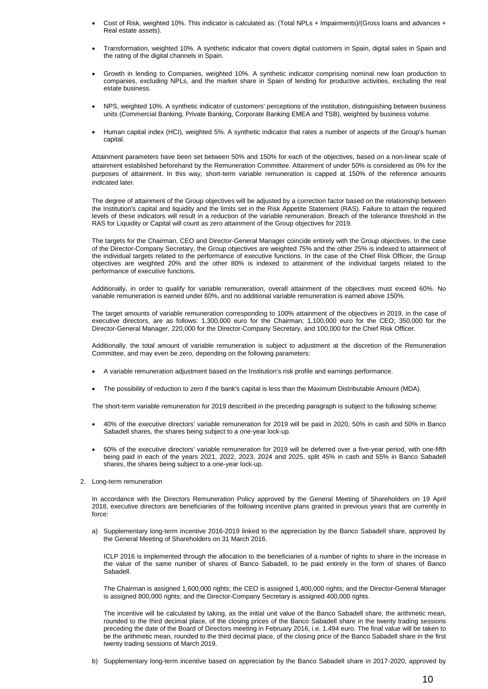- Cost of Risk, weighted 10%. This indicator is calculated as: (Total NPLs + Impairments)/(Gross loans and advances + Real estate assets).
- Transformation, weighted 10%. A synthetic indicator that covers digital customers in Spain, digital sales in Spain and the rating of the digital channels in Spain.
- Growth in lending to Companies, weighted 10%. A synthetic indicator comprising nominal new loan production to companies, excluding NPLs, and the market share in Spain of lending for productive activities, excluding the real estate business.
- NPS, weighted 10%. A synthetic indicator of customers' perceptions of the institution, distinguishing between business units (Commercial Banking, Private Banking, Corporate Banking EMEA and TSB), weighted by business volume.
- Human capital index (HCI), weighted 5%. A synthetic indicator that rates a number of aspects of the Group's human capital.

Attainment parameters have been set between 50% and 150% for each of the objectives, based on a non-linear scale of attainment established beforehand by the Remuneration Committee. Attainment of under 50% is considered as 0% for the purposes of attainment. In this way, short-term variable remuneration is capped at 150% of the reference amounts indicated later.

The degree of attainment of the Group objectives will be adjusted by a correction factor based on the relationship between the Institution's capital and liquidity and the limits set in the Risk Appetite Statement (RAS). Failure to attain the required levels of these indicators will result in a reduction of the variable remuneration. Breach of the tolerance threshold in the RAS for Liquidity or Capital will count as zero attainment of the Group objectives for 2019.

The targets for the Chairman, CEO and Director-General Manager coincide entirely with the Group objectives. In the case of the Director-Company Secretary, the Group objectives are weighted 75% and the other 25% is indexed to attainment of the individual targets related to the performance of executive functions. In the case of the Chief Risk Officer, the Group objectives are weighted 20% and the other 80% is indexed to attainment of the individual targets related to the performance of executive functions.

Additionally, in order to qualify for variable remuneration, overall attainment of the objectives must exceed 60%. No variable remuneration is earned under 60%, and no additional variable remuneration is earned above 150%.

The target amounts of variable remuneration corresponding to 100% attainment of the objectives in 2019, in the case of executive directors, are as follows: 1,300,000 euro for the Chairman; 1,100,000 euro for the CEO; 350,000 for the Director-General Manager, 220,000 for the Director-Company Secretary, and 100,000 for the Chief Risk Officer.

Additionally, the total amount of variable remuneration is subject to adjustment at the discretion of the Remuneration Committee, and may even be zero, depending on the following parameters:

- A variable remuneration adjustment based on the Institution's risk profile and earnings performance.
- The possibility of reduction to zero if the bank's capital is less than the Maximum Distributable Amount (MDA).

The short-term variable remuneration for 2019 described in the preceding paragraph is subject to the following scheme:

- 40% of the executive directors' variable remuneration for 2019 will be paid in 2020, 50% in cash and 50% in Banco Sabadell shares, the shares being subject to a one-year lock-up.
- 60% of the executive directors' variable remuneration for 2019 will be deferred over a five-year period, with one-fifth being paid in each of the years 2021, 2022, 2023, 2024 and 2025, split 45% in cash and 55% in Banco Sabadell shares, the shares being subject to a one-year lock-up.
- 2. Long-term remuneration

In accordance with the Directors Remuneration Policy approved by the General Meeting of Shareholders on 19 April 2018, executive directors are beneficiaries of the following incentive plans granted in previous years that are currently in force:

a) Supplementary long-term incentive 2016-2019 linked to the appreciation by the Banco Sabadell share, approved by the General Meeting of Shareholders on 31 March 2016.

ICLP 2016 is implemented through the allocation to the beneficiaries of a number of rights to share in the increase in the value of the same number of shares of Banco Sabadell, to be paid entirely in the form of shares of Banco Sabadell.

The Chairman is assigned 1,600,000 rights; the CEO is assigned 1,400,000 rights; and the Director-General Manager is assigned 800,000 rights; and the Director-Company Secretary is assigned 400,000 rights.

The incentive will be calculated by taking, as the initial unit value of the Banco Sabadell share, the arithmetic mean, rounded to the third decimal place, of the closing prices of the Banco Sabadell share in the twenty trading sessions preceding the date of the Board of Directors meeting in February 2016, i.e. 1.494 euro. The final value will be taken to be the arithmetic mean, rounded to the third decimal place, of the closing price of the Banco Sabadell share in the first twenty trading sessions of March 2019.

b) Supplementary long-term incentive based on appreciation by the Banco Sabadell share in 2017-2020, approved by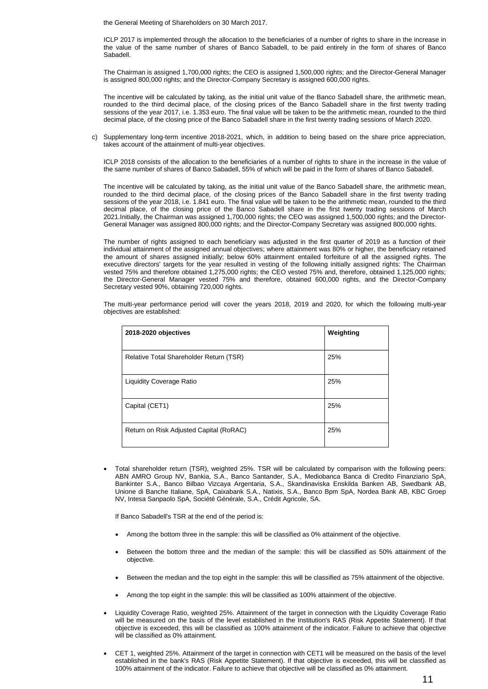the General Meeting of Shareholders on 30 March 2017.

ICLP 2017 is implemented through the allocation to the beneficiaries of a number of rights to share in the increase in the value of the same number of shares of Banco Sabadell, to be paid entirely in the form of shares of Banco Sabadell.

The Chairman is assigned 1,700,000 rights; the CEO is assigned 1,500,000 rights; and the Director-General Manager is assigned 800,000 rights; and the Director-Company Secretary is assigned 600,000 rights.

The incentive will be calculated by taking, as the initial unit value of the Banco Sabadell share, the arithmetic mean, rounded to the third decimal place, of the closing prices of the Banco Sabadell share in the first twenty trading sessions of the year 2017, i.e. 1.353 euro. The final value will be taken to be the arithmetic mean, rounded to the third decimal place, of the closing price of the Banco Sabadell share in the first twenty trading sessions of March 2020.

c) Supplementary long-term incentive 2018-2021, which, in addition to being based on the share price appreciation, takes account of the attainment of multi-year objectives.

ICLP 2018 consists of the allocation to the beneficiaries of a number of rights to share in the increase in the value of the same number of shares of Banco Sabadell, 55% of which will be paid in the form of shares of Banco Sabadell.

The incentive will be calculated by taking, as the initial unit value of the Banco Sabadell share, the arithmetic mean, rounded to the third decimal place, of the closing prices of the Banco Sabadell share in the first twenty trading sessions of the year 2018, i.e. 1.841 euro. The final value will be taken to be the arithmetic mean, rounded to the third decimal place, of the closing price of the Banco Sabadell share in the first twenty trading sessions of March 2021.Initially, the Chairman was assigned 1,700,000 rights; the CEO was assigned 1,500,000 rights; and the Director-General Manager was assigned 800,000 rights; and the Director-Company Secretary was assigned 800,000 rights.

The number of rights assigned to each beneficiary was adjusted in the first quarter of 2019 as a function of their individual attainment of the assigned annual objectives; where attainment was 80% or higher, the beneficiary retained the amount of shares assigned initially; below 60% attainment entailed forfeiture of all the assigned rights. The executive directors' targets for the year resulted in vesting of the following initially assigned rights: The Chairman vested 75% and therefore obtained 1,275,000 rights; the CEO vested 75% and, therefore, obtained 1,125,000 rights; the Director-General Manager vested 75% and therefore, obtained 600,000 rights, and the Director-Company Secretary vested 90%, obtaining 720,000 rights.

The multi-year performance period will cover the years 2018, 2019 and 2020, for which the following multi-year objectives are established:

| 2018-2020 objectives                    | Weighting |
|-----------------------------------------|-----------|
| Relative Total Shareholder Return (TSR) | 25%       |
| <b>Liquidity Coverage Ratio</b>         | 25%       |
| Capital (CET1)                          | 25%       |
| Return on Risk Adjusted Capital (RoRAC) | 25%       |

 Total shareholder return (TSR), weighted 25%. TSR will be calculated by comparison with the following peers: ABN AMRO Group NV, Bankia, S.A., Banco Santander, S.A., Mediobanca Banca di Credito Finanziario SpA, Bankinter S.A., Banco Bilbao Vizcaya Argentaria, S.A., Skandinaviska Enskilda Banken AB, Swedbank AB, Unione di Banche Italiane, SpA, Caixabank S.A., Natixis, S.A., Banco Bpm SpA, Nordea Bank AB, KBC Groep NV, Intesa Sanpaolo SpA, Société Générale, S.A., Crédit Agricole, SA.

If Banco Sabadell's TSR at the end of the period is:

- Among the bottom three in the sample: this will be classified as 0% attainment of the objective.
- Between the bottom three and the median of the sample: this will be classified as 50% attainment of the objective.
- Between the median and the top eight in the sample: this will be classified as 75% attainment of the objective.
- Among the top eight in the sample: this will be classified as 100% attainment of the objective.
- Liquidity Coverage Ratio, weighted 25%. Attainment of the target in connection with the Liquidity Coverage Ratio will be measured on the basis of the level established in the Institution's RAS (Risk Appetite Statement). If that objective is exceeded, this will be classified as 100% attainment of the indicator. Failure to achieve that objective will be classified as 0% attainment.
- CET 1, weighted 25%. Attainment of the target in connection with CET1 will be measured on the basis of the level established in the bank's RAS (Risk Appetite Statement). If that objective is exceeded, this will be classified as 100% attainment of the indicator. Failure to achieve that objective will be classified as 0% attainment.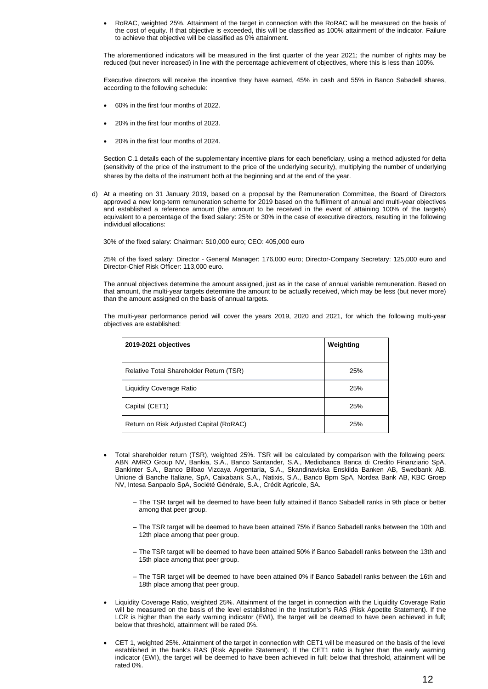RoRAC, weighted 25%. Attainment of the target in connection with the RoRAC will be measured on the basis of the cost of equity. If that objective is exceeded, this will be classified as 100% attainment of the indicator. Failure to achieve that objective will be classified as 0% attainment.

The aforementioned indicators will be measured in the first quarter of the year 2021; the number of rights may be reduced (but never increased) in line with the percentage achievement of objectives, where this is less than 100%.

Executive directors will receive the incentive they have earned, 45% in cash and 55% in Banco Sabadell shares, according to the following schedule:

- 60% in the first four months of 2022.
- 20% in the first four months of 2023.
- 20% in the first four months of 2024.

Section C.1 details each of the supplementary incentive plans for each beneficiary, using a method adjusted for delta (sensitivity of the price of the instrument to the price of the underlying security), multiplying the number of underlying shares by the delta of the instrument both at the beginning and at the end of the year.

d) At a meeting on 31 January 2019, based on a proposal by the Remuneration Committee, the Board of Directors approved a new long-term remuneration scheme for 2019 based on the fulfilment of annual and multi-year objectives and established a reference amount (the amount to be received in the event of attaining 100% of the targets) equivalent to a percentage of the fixed salary: 25% or 30% in the case of executive directors, resulting in the following individual allocations:

30% of the fixed salary: Chairman: 510,000 euro; CEO: 405,000 euro

25% of the fixed salary: Director - General Manager: 176,000 euro; Director-Company Secretary: 125,000 euro and Director-Chief Risk Officer: 113,000 euro.

The annual objectives determine the amount assigned, just as in the case of annual variable remuneration. Based on that amount, the multi-year targets determine the amount to be actually received, which may be less (but never more) than the amount assigned on the basis of annual targets.

The multi-year performance period will cover the years 2019, 2020 and 2021, for which the following multi-year objectives are established:

| 2019-2021 objectives                    | Weighting |
|-----------------------------------------|-----------|
| Relative Total Shareholder Return (TSR) | 25%       |
| <b>Liquidity Coverage Ratio</b>         | 25%       |
| Capital (CET1)                          | 25%       |
| Return on Risk Adjusted Capital (RoRAC) | 25%       |

- Total shareholder return (TSR), weighted 25%. TSR will be calculated by comparison with the following peers: ABN AMRO Group NV, Bankia, S.A., Banco Santander, S.A., Mediobanca Banca di Credito Finanziario SpA, Bankinter S.A., Banco Bilbao Vizcaya Argentaria, S.A., Skandinaviska Enskilda Banken AB, Swedbank AB, Unione di Banche Italiane, SpA, Caixabank S.A., Natixis, S.A., Banco Bpm SpA, Nordea Bank AB, KBC Groep NV, Intesa Sanpaolo SpA, Société Générale, S.A., Crédit Agricole, SA.
	- ‒ The TSR target will be deemed to have been fully attained if Banco Sabadell ranks in 9th place or better among that peer group.
	- ‒ The TSR target will be deemed to have been attained 75% if Banco Sabadell ranks between the 10th and 12th place among that peer group.
	- ‒ The TSR target will be deemed to have been attained 50% if Banco Sabadell ranks between the 13th and 15th place among that peer group.
	- ‒ The TSR target will be deemed to have been attained 0% if Banco Sabadell ranks between the 16th and 18th place among that peer group.
- Liquidity Coverage Ratio, weighted 25%. Attainment of the target in connection with the Liquidity Coverage Ratio will be measured on the basis of the level established in the Institution's RAS (Risk Appetite Statement). If the LCR is higher than the early warning indicator (EWI), the target will be deemed to have been achieved in full; below that threshold, attainment will be rated 0%.
- CET 1, weighted 25%. Attainment of the target in connection with CET1 will be measured on the basis of the level established in the bank's RAS (Risk Appetite Statement). If the CET1 ratio is higher than the early warning indicator (EWI), the target will be deemed to have been achieved in full; below that threshold, attainment will be rated 0%.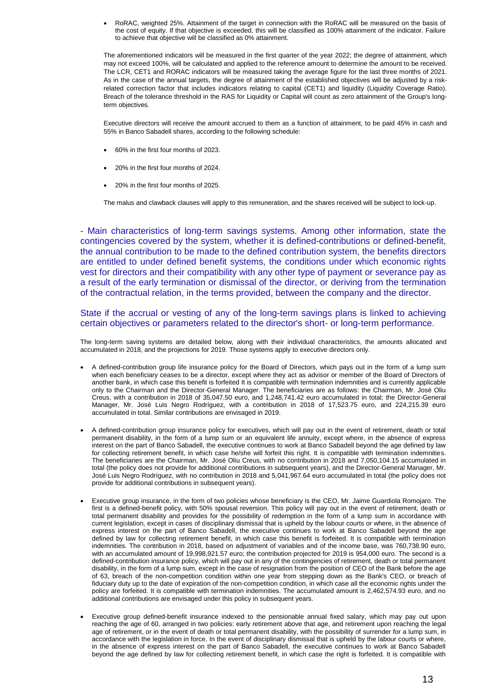RoRAC, weighted 25%. Attainment of the target in connection with the RoRAC will be measured on the basis of the cost of equity. If that objective is exceeded, this will be classified as 100% attainment of the indicator. Failure to achieve that objective will be classified as 0% attainment.

The aforementioned indicators will be measured in the first quarter of the year 2022; the degree of attainment, which may not exceed 100%, will be calculated and applied to the reference amount to determine the amount to be received. The LCR, CET1 and RORAC indicators will be measured taking the average figure for the last three months of 2021. As in the case of the annual targets, the degree of attainment of the established objectives will be adjusted by a riskrelated correction factor that includes indicators relating to capital (CET1) and liquidity (Liquidity Coverage Ratio). Breach of the tolerance threshold in the RAS for Liquidity or Capital will count as zero attainment of the Group's longterm objectives.

Executive directors will receive the amount accrued to them as a function of attainment, to be paid 45% in cash and 55% in Banco Sabadell shares, according to the following schedule:

- 60% in the first four months of 2023.
- 20% in the first four months of 2024.
- 20% in the first four months of 2025.

The malus and clawback clauses will apply to this remuneration, and the shares received will be subject to lock-up.

- Main characteristics of long-term savings systems. Among other information, state the contingencies covered by the system, whether it is defined-contributions or defined-benefit, the annual contribution to be made to the defined contribution system, the benefits directors are entitled to under defined benefit systems, the conditions under which economic rights vest for directors and their compatibility with any other type of payment or severance pay as a result of the early termination or dismissal of the director, or deriving from the termination of the contractual relation, in the terms provided, between the company and the director.

State if the accrual or vesting of any of the long-term savings plans is linked to achieving certain objectives or parameters related to the director's short- or long-term performance.

The long-term saving systems are detailed below, along with their individual characteristics, the amounts allocated and accumulated in 2018, and the projections for 2019. Those systems apply to executive directors only.

- A defined-contribution group life insurance policy for the Board of Directors, which pays out in the form of a lump sum when each beneficiary ceases to be a director, except where they act as advisor or member of the Board of Directors of another bank, in which case this benefit is forfeited It is compatible with termination indemnities and is currently applicable only to the Chairman and the Director-General Manager. The beneficiaries are as follows: the Chairman, Mr. José Oliu Creus, with a contribution in 2018 of 35,047.50 euro, and 1,248,741.42 euro accumulated in total; the Director-General Manager, Mr. José Luis Negro Rodríguez, with a contribution in 2018 of 17,523.75 euro, and 224,215.39 euro accumulated in total. Similar contributions are envisaged in 2019.
- A defined-contribution group insurance policy for executives, which will pay out in the event of retirement, death or total permanent disability, in the form of a lump sum or an equivalent life annuity, except where, in the absence of express interest on the part of Banco Sabadell, the executive continues to work at Banco Sabadell beyond the age defined by law for collecting retirement benefit, in which case he/she will forfeit this right. It is compatible with termination indemnities. The beneficiaries are the Chairman, Mr. José Oliu Creus, with no contribution in 2018 and 7,050,104.15 accumulated in total (the policy does not provide for additional contributions in subsequent years), and the Director-General Manager, Mr. José Luis Negro Rodríguez, with no contribution in 2018 and 5,041,967.64 euro accumulated in total (the policy does not provide for additional contributions in subsequent years).
- Executive group insurance, in the form of two policies whose beneficiary is the CEO, Mr. Jaime Guardiola Romojaro. The first is a defined-benefit policy, with 50% spousal reversion. This policy will pay out in the event of retirement, death or total permanent disability and provides for the possibility of redemption in the form of a lump sum in accordance with current legislation, except in cases of disciplinary dismissal that is upheld by the labour courts or where, in the absence of express interest on the part of Banco Sabadell, the executive continues to work at Banco Sabadell beyond the age defined by law for collecting retirement benefit, in which case this benefit is forfeited. It is compatible with termination indemnities. The contribution in 2018, based on adjustment of variables and of the income base, was 760,738.90 euro, with an accumulated amount of 19,998,921.57 euro; the contribution projected for 2019 is 954,000 euro. The second is a defined-contribution insurance policy, which will pay out in any of the contingencies of retirement, death or total permanent disability, in the form of a lump sum, except in the case of resignation from the position of CEO of the Bank before the age of 63, breach of the non-competition condition within one year from stepping down as the Bank's CEO, or breach of fiduciary duty up to the date of expiration of the non-competition condition, in which case all the economic rights under the policy are forfeited. It is compatible with termination indemnities. The accumulated amount is 2,462,574.93 euro, and no additional contributions are envisaged under this policy in subsequent years.
- Executive group defined-benefit insurance indexed to the pensionable annual fixed salary, which may pay out upon reaching the age of 60, arranged in two policies: early retirement above that age, and retirement upon reaching the legal age of retirement, or in the event of death or total permanent disability, with the possibility of surrender for a lump sum, in accordance with the legislation in force. In the event of disciplinary dismissal that is upheld by the labour courts or where, in the absence of express interest on the part of Banco Sabadell, the executive continues to work at Banco Sabadell beyond the age defined by law for collecting retirement benefit, in which case the right is forfeited. It is compatible with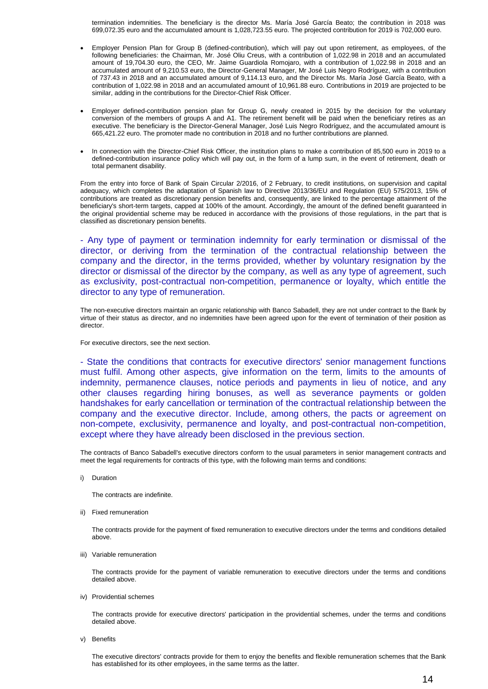termination indemnities. The beneficiary is the director Ms. María José García Beato; the contribution in 2018 was 699,072.35 euro and the accumulated amount is 1,028,723.55 euro. The projected contribution for 2019 is 702,000 euro.

- Employer Pension Plan for Group B (defined-contribution), which will pay out upon retirement, as employees, of the following beneficiaries: the Chairman, Mr. José Oliu Creus, with a contribution of 1,022.98 in 2018 and an accumulated amount of 19,704.30 euro, the CEO, Mr. Jaime Guardiola Romojaro, with a contribution of 1,022.98 in 2018 and an accumulated amount of 9,210.53 euro, the Director-General Manager, Mr José Luis Negro Rodríguez, with a contribution of 737.43 in 2018 and an accumulated amount of 9,114.13 euro, and the Director Ms. María José García Beato, with a contribution of 1,022.98 in 2018 and an accumulated amount of 10,961.88 euro. Contributions in 2019 are projected to be similar, adding in the contributions for the Director-Chief Risk Officer.
- Employer defined-contribution pension plan for Group G, newly created in 2015 by the decision for the voluntary conversion of the members of groups A and A1. The retirement benefit will be paid when the beneficiary retires as an executive. The beneficiary is the Director-General Manager, José Luis Negro Rodríguez, and the accumulated amount is 665,421.22 euro. The promoter made no contribution in 2018 and no further contributions are planned.
- In connection with the Director-Chief Risk Officer, the institution plans to make a contribution of 85,500 euro in 2019 to a defined-contribution insurance policy which will pay out, in the form of a lump sum, in the event of retirement, death or total permanent disability.

From the entry into force of Bank of Spain Circular 2/2016, of 2 February, to credit institutions, on supervision and capital adequacy, which completes the adaptation of Spanish law to Directive 2013/36/EU and Regulation (EU) 575/2013, 15% of contributions are treated as discretionary pension benefits and, consequently, are linked to the percentage attainment of the beneficiary's short-term targets, capped at 100% of the amount. Accordingly, the amount of the defined benefit guaranteed in the original providential scheme may be reduced in accordance with the provisions of those regulations, in the part that is classified as discretionary pension benefits.

- Any type of payment or termination indemnity for early termination or dismissal of the director, or deriving from the termination of the contractual relationship between the company and the director, in the terms provided, whether by voluntary resignation by the director or dismissal of the director by the company, as well as any type of agreement, such as exclusivity, post-contractual non-competition, permanence or loyalty, which entitle the director to any type of remuneration.

The non-executive directors maintain an organic relationship with Banco Sabadell, they are not under contract to the Bank by virtue of their status as director, and no indemnities have been agreed upon for the event of termination of their position as director.

For executive directors, see the next section.

- State the conditions that contracts for executive directors' senior management functions must fulfil. Among other aspects, give information on the term, limits to the amounts of indemnity, permanence clauses, notice periods and payments in lieu of notice, and any other clauses regarding hiring bonuses, as well as severance payments or golden handshakes for early cancellation or termination of the contractual relationship between the company and the executive director. Include, among others, the pacts or agreement on non-compete, exclusivity, permanence and loyalty, and post-contractual non-competition, except where they have already been disclosed in the previous section.

The contracts of Banco Sabadell's executive directors conform to the usual parameters in senior management contracts and meet the legal requirements for contracts of this type, with the following main terms and conditions:

i) Duration

The contracts are indefinite.

ii) Fixed remuneration

The contracts provide for the payment of fixed remuneration to executive directors under the terms and conditions detailed above.

iii) Variable remuneration

The contracts provide for the payment of variable remuneration to executive directors under the terms and conditions detailed above.

iv) Providential schemes

The contracts provide for executive directors' participation in the providential schemes, under the terms and conditions detailed above.

v) Benefits

The executive directors' contracts provide for them to enjoy the benefits and flexible remuneration schemes that the Bank has established for its other employees, in the same terms as the latter.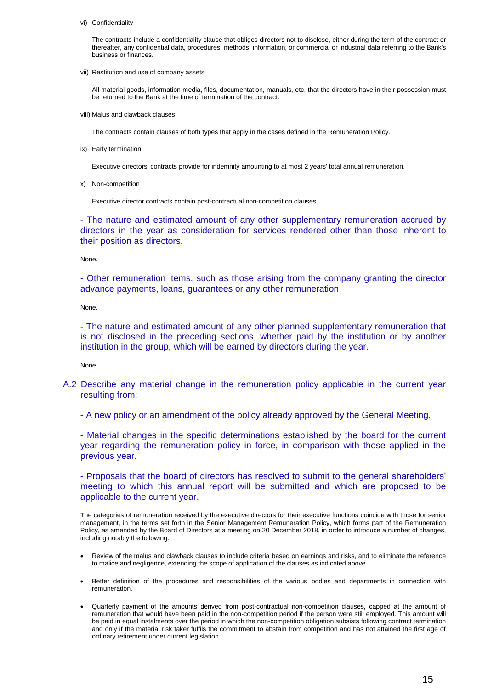vi) Confidentiality

The contracts include a confidentiality clause that obliges directors not to disclose, either during the term of the contract or thereafter, any confidential data, procedures, methods, information, or commercial or industrial data referring to the Bank's business or finances.

vii) Restitution and use of company assets

All material goods, information media, files, documentation, manuals, etc. that the directors have in their possession must be returned to the Bank at the time of termination of the contract.

viii) Malus and clawback clauses

The contracts contain clauses of both types that apply in the cases defined in the Remuneration Policy.

ix) Early termination

Executive directors' contracts provide for indemnity amounting to at most 2 years' total annual remuneration.

x) Non-competition

Executive director contracts contain post-contractual non-competition clauses.

- The nature and estimated amount of any other supplementary remuneration accrued by directors in the year as consideration for services rendered other than those inherent to their position as directors.

None.

- Other remuneration items, such as those arising from the company granting the director advance payments, loans, guarantees or any other remuneration.

None.

- The nature and estimated amount of any other planned supplementary remuneration that is not disclosed in the preceding sections, whether paid by the institution or by another institution in the group, which will be earned by directors during the year.

None.

A.2 Describe any material change in the remuneration policy applicable in the current year resulting from:

- A new policy or an amendment of the policy already approved by the General Meeting.

- Material changes in the specific determinations established by the board for the current year regarding the remuneration policy in force, in comparison with those applied in the previous year.

- Proposals that the board of directors has resolved to submit to the general shareholders' meeting to which this annual report will be submitted and which are proposed to be applicable to the current year.

The categories of remuneration received by the executive directors for their executive functions coincide with those for senior management, in the terms set forth in the Senior Management Remuneration Policy, which forms part of the Remuneration Policy, as amended by the Board of Directors at a meeting on 20 December 2018, in order to introduce a number of changes, including notably the following:

- Review of the malus and clawback clauses to include criteria based on earnings and risks, and to eliminate the reference to malice and negligence, extending the scope of application of the clauses as indicated above.
- Better definition of the procedures and responsibilities of the various bodies and departments in connection with remuneration.
- Quarterly payment of the amounts derived from post-contractual non-competition clauses, capped at the amount of remuneration that would have been paid in the non-competition period if the person were still employed. This amount will be paid in equal instalments over the period in which the non-competition obligation subsists following contract termination and only if the material risk taker fulfils the commitment to abstain from competition and has not attained the first age of ordinary retirement under current legislation.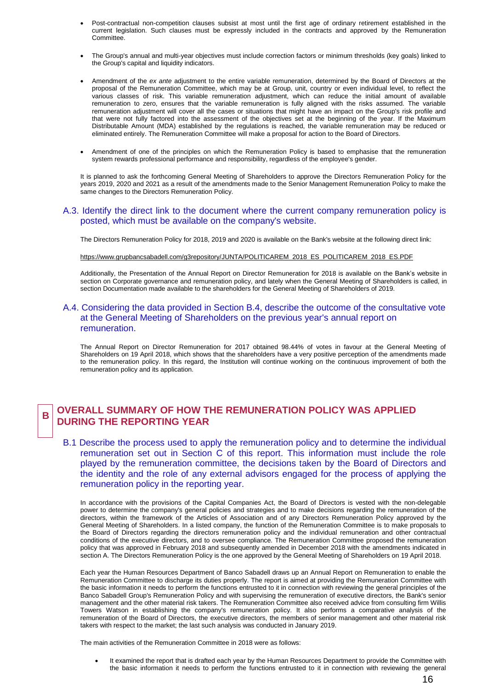- Post-contractual non-competition clauses subsist at most until the first age of ordinary retirement established in the current legislation. Such clauses must be expressly included in the contracts and approved by the Remuneration Committee.
- The Group's annual and multi-year objectives must include correction factors or minimum thresholds (key goals) linked to the Group's capital and liquidity indicators.
- Amendment of the *ex ante* adjustment to the entire variable remuneration, determined by the Board of Directors at the proposal of the Remuneration Committee, which may be at Group, unit, country or even individual level, to reflect the various classes of risk. This variable remuneration adjustment, which can reduce the initial amount of available remuneration to zero, ensures that the variable remuneration is fully aligned with the risks assumed. The variable remuneration adjustment will cover all the cases or situations that might have an impact on the Group's risk profile and that were not fully factored into the assessment of the objectives set at the beginning of the year. If the Maximum Distributable Amount (MDA) established by the regulations is reached, the variable remuneration may be reduced or eliminated entirely. The Remuneration Committee will make a proposal for action to the Board of Directors.
- Amendment of one of the principles on which the Remuneration Policy is based to emphasise that the remuneration system rewards professional performance and responsibility, regardless of the employee's gender.

It is planned to ask the forthcoming General Meeting of Shareholders to approve the Directors Remuneration Policy for the years 2019, 2020 and 2021 as a result of the amendments made to the Senior Management Remuneration Policy to make the same changes to the Directors Remuneration Policy.

#### A.3. Identify the direct link to the document where the current company remuneration policy is posted, which must be available on the company's website.

The Directors Remuneration Policy for 2018, 2019 and 2020 is available on the Bank's website at the following direct link:

#### [https://www.grupbancsabadell.com/g3repository/JUNTA/POLITICAREM\\_2018\\_ES\\_POLITICAREM\\_2018\\_ES.PDF](https://www.grupbancsabadell.com/g3repository/JUNTA/POLITICAREM_2018_ES_POLITICAREM_2018_ES.PDF)

Additionally, the Presentation of the Annual Report on Director Remuneration for 2018 is available on the Bank's website in section on Corporate governance and remuneration policy, and lately when the General Meeting of Shareholders is called, in section Documentation made available to the shareholders for the General Meeting of Shareholders of 2019.

### A.4. Considering the data provided in Section B.4, describe the outcome of the consultative vote at the General Meeting of Shareholders on the previous year's annual report on remuneration.

The Annual Report on Director Remuneration for 2017 obtained 98.44% of votes in favour at the General Meeting of Shareholders on 19 April 2018, which shows that the shareholders have a very positive perception of the amendments made to the remuneration policy. In this regard, the Institution will continue working on the continuous improvement of both the remuneration policy and its application.

#### **B OVERALL SUMMARY OF HOW THE REMUNERATION POLICY WAS APPLIED DURING THE REPORTING YEAR**

B.1 Describe the process used to apply the remuneration policy and to determine the individual remuneration set out in Section C of this report. This information must include the role played by the remuneration committee, the decisions taken by the Board of Directors and the identity and the role of any external advisors engaged for the process of applying the remuneration policy in the reporting year.

In accordance with the provisions of the Capital Companies Act, the Board of Directors is vested with the non-delegable power to determine the company's general policies and strategies and to make decisions regarding the remuneration of the directors, within the framework of the Articles of Association and of any Directors Remuneration Policy approved by the General Meeting of Shareholders. In a listed company, the function of the Remuneration Committee is to make proposals to the Board of Directors regarding the directors remuneration policy and the individual remuneration and other contractual conditions of the executive directors, and to oversee compliance. The Remuneration Committee proposed the remuneration policy that was approved in February 2018 and subsequently amended in December 2018 with the amendments indicated in section A. The Directors Remuneration Policy is the one approved by the General Meeting of Shareholders on 19 April 2018.

Each year the Human Resources Department of Banco Sabadell draws up an Annual Report on Remuneration to enable the Remuneration Committee to discharge its duties properly. The report is aimed at providing the Remuneration Committee with the basic information it needs to perform the functions entrusted to it in connection with reviewing the general principles of the Banco Sabadell Group's Remuneration Policy and with supervising the remuneration of executive directors, the Bank's senior management and the other material risk takers. The Remuneration Committee also received advice from consulting firm Willis Towers Watson in establishing the company's remuneration policy. It also performs a comparative analysis of the remuneration of the Board of Directors, the executive directors, the members of senior management and other material risk takers with respect to the market; the last such analysis was conducted in January 2019.

The main activities of the Remuneration Committee in 2018 were as follows:

 It examined the report that is drafted each year by the Human Resources Department to provide the Committee with the basic information it needs to perform the functions entrusted to it in connection with reviewing the general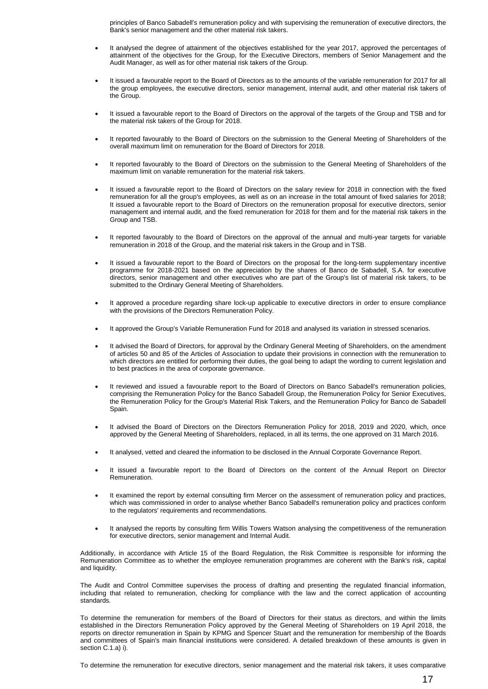principles of Banco Sabadell's remuneration policy and with supervising the remuneration of executive directors, the Bank's senior management and the other material risk takers.

- It analysed the degree of attainment of the objectives established for the year 2017, approved the percentages of attainment of the objectives for the Group, for the Executive Directors, members of Senior Management and the Audit Manager, as well as for other material risk takers of the Group.
- It issued a favourable report to the Board of Directors as to the amounts of the variable remuneration for 2017 for all the group employees, the executive directors, senior management, internal audit, and other material risk takers of the Group.
- It issued a favourable report to the Board of Directors on the approval of the targets of the Group and TSB and for the material risk takers of the Group for 2018.
- It reported favourably to the Board of Directors on the submission to the General Meeting of Shareholders of the overall maximum limit on remuneration for the Board of Directors for 2018.
- It reported favourably to the Board of Directors on the submission to the General Meeting of Shareholders of the maximum limit on variable remuneration for the material risk takers.
- It issued a favourable report to the Board of Directors on the salary review for 2018 in connection with the fixed remuneration for all the group's employees, as well as on an increase in the total amount of fixed salaries for 2018; It issued a favourable report to the Board of Directors on the remuneration proposal for executive directors, senior management and internal audit, and the fixed remuneration for 2018 for them and for the material risk takers in the Group and TSB.
- It reported favourably to the Board of Directors on the approval of the annual and multi-year targets for variable remuneration in 2018 of the Group, and the material risk takers in the Group and in TSB.
- It issued a favourable report to the Board of Directors on the proposal for the long-term supplementary incentive programme for 2018-2021 based on the appreciation by the shares of Banco de Sabadell, S.A. for executive directors, senior management and other executives who are part of the Group's list of material risk takers, to be submitted to the Ordinary General Meeting of Shareholders.
- It approved a procedure regarding share lock-up applicable to executive directors in order to ensure compliance with the provisions of the Directors Remuneration Policy.
- It approved the Group's Variable Remuneration Fund for 2018 and analysed its variation in stressed scenarios.
- It advised the Board of Directors, for approval by the Ordinary General Meeting of Shareholders, on the amendment of articles 50 and 85 of the Articles of Association to update their provisions in connection with the remuneration to which directors are entitled for performing their duties, the goal being to adapt the wording to current legislation and to best practices in the area of corporate governance.
- It reviewed and issued a favourable report to the Board of Directors on Banco Sabadell's remuneration policies, comprising the Remuneration Policy for the Banco Sabadell Group, the Remuneration Policy for Senior Executives, the Remuneration Policy for the Group's Material Risk Takers, and the Remuneration Policy for Banco de Sabadell Spain.
- It advised the Board of Directors on the Directors Remuneration Policy for 2018, 2019 and 2020, which, once approved by the General Meeting of Shareholders, replaced, in all its terms, the one approved on 31 March 2016.
- It analysed, vetted and cleared the information to be disclosed in the Annual Corporate Governance Report.
- It issued a favourable report to the Board of Directors on the content of the Annual Report on Director Remuneration.
- It examined the report by external consulting firm Mercer on the assessment of remuneration policy and practices, which was commissioned in order to analyse whether Banco Sabadell's remuneration policy and practices conform to the regulators' requirements and recommendations.
- It analysed the reports by consulting firm Willis Towers Watson analysing the competitiveness of the remuneration for executive directors, senior management and Internal Audit.

Additionally, in accordance with Article 15 of the Board Regulation, the Risk Committee is responsible for informing the Remuneration Committee as to whether the employee remuneration programmes are coherent with the Bank's risk, capital and liquidity.

The Audit and Control Committee supervises the process of drafting and presenting the regulated financial information, including that related to remuneration, checking for compliance with the law and the correct application of accounting standards.

To determine the remuneration for members of the Board of Directors for their status as directors, and within the limits established in the Directors Remuneration Policy approved by the General Meeting of Shareholders on 19 April 2018, the reports on director remuneration in Spain by KPMG and Spencer Stuart and the remuneration for membership of the Boards and committees of Spain's main financial institutions were considered. A detailed breakdown of these amounts is given in section C.1.a) i).

To determine the remuneration for executive directors, senior management and the material risk takers, it uses comparative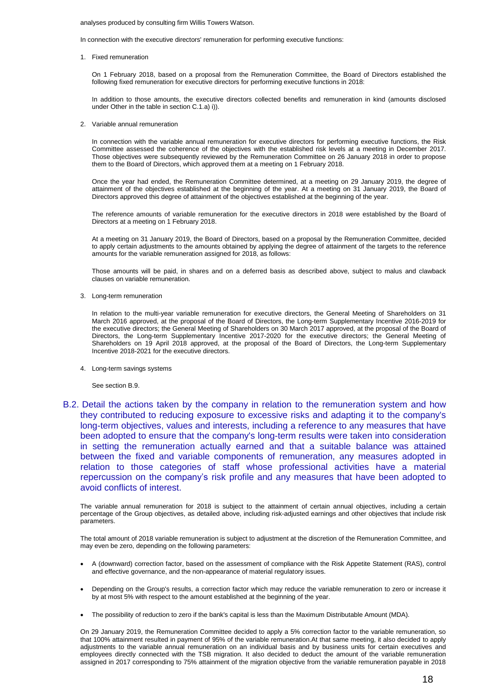#### analyses produced by consulting firm Willis Towers Watson.

In connection with the executive directors' remuneration for performing executive functions:

#### 1. Fixed remuneration

On 1 February 2018, based on a proposal from the Remuneration Committee, the Board of Directors established the following fixed remuneration for executive directors for performing executive functions in 2018:

In addition to those amounts, the executive directors collected benefits and remuneration in kind (amounts disclosed under Other in the table in section C.1.a) i)).

2. Variable annual remuneration

In connection with the variable annual remuneration for executive directors for performing executive functions, the Risk Committee assessed the coherence of the objectives with the established risk levels at a meeting in December 2017. Those objectives were subsequently reviewed by the Remuneration Committee on 26 January 2018 in order to propose them to the Board of Directors, which approved them at a meeting on 1 February 2018.

Once the year had ended, the Remuneration Committee determined, at a meeting on 29 January 2019, the degree of attainment of the objectives established at the beginning of the year. At a meeting on 31 January 2019, the Board of Directors approved this degree of attainment of the objectives established at the beginning of the year.

The reference amounts of variable remuneration for the executive directors in 2018 were established by the Board of Directors at a meeting on 1 February 2018.

At a meeting on 31 January 2019, the Board of Directors, based on a proposal by the Remuneration Committee, decided to apply certain adjustments to the amounts obtained by applying the degree of attainment of the targets to the reference amounts for the variable remuneration assigned for 2018, as follows:

Those amounts will be paid, in shares and on a deferred basis as described above, subject to malus and clawback clauses on variable remuneration.

3. Long-term remuneration

In relation to the multi-year variable remuneration for executive directors, the General Meeting of Shareholders on 31 March 2016 approved, at the proposal of the Board of Directors, the Long-term Supplementary Incentive 2016-2019 for the executive directors; the General Meeting of Shareholders on 30 March 2017 approved, at the proposal of the Board of Directors, the Long-term Supplementary Incentive 2017-2020 for the executive directors; the General Meeting of Shareholders on 19 April 2018 approved, at the proposal of the Board of Directors, the Long-term Supplementary Incentive 2018-2021 for the executive directors.

4. Long-term savings systems

See section B.9.

B.2. Detail the actions taken by the company in relation to the remuneration system and how they contributed to reducing exposure to excessive risks and adapting it to the company's long-term objectives, values and interests, including a reference to any measures that have been adopted to ensure that the company's long-term results were taken into consideration in setting the remuneration actually earned and that a suitable balance was attained between the fixed and variable components of remuneration, any measures adopted in relation to those categories of staff whose professional activities have a material repercussion on the company's risk profile and any measures that have been adopted to avoid conflicts of interest.

The variable annual remuneration for 2018 is subject to the attainment of certain annual objectives, including a certain percentage of the Group objectives, as detailed above, including risk-adjusted earnings and other objectives that include risk parameters.

The total amount of 2018 variable remuneration is subject to adjustment at the discretion of the Remuneration Committee, and may even be zero, depending on the following parameters:

- A (downward) correction factor, based on the assessment of compliance with the Risk Appetite Statement (RAS), control and effective governance, and the non-appearance of material regulatory issues.
- Depending on the Group's results, a correction factor which may reduce the variable remuneration to zero or increase it by at most 5% with respect to the amount established at the beginning of the year.
- The possibility of reduction to zero if the bank's capital is less than the Maximum Distributable Amount (MDA).

On 29 January 2019, the Remuneration Committee decided to apply a 5% correction factor to the variable remuneration, so that 100% attainment resulted in payment of 95% of the variable remuneration.At that same meeting, it also decided to apply adjustments to the variable annual remuneration on an individual basis and by business units for certain executives and employees directly connected with the TSB migration. It also decided to deduct the amount of the variable remuneration assigned in 2017 corresponding to 75% attainment of the migration objective from the variable remuneration payable in 2018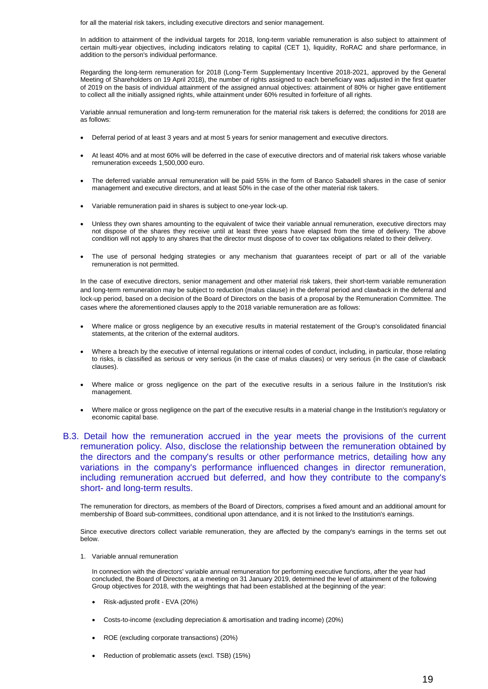for all the material risk takers, including executive directors and senior management.

In addition to attainment of the individual targets for 2018, long-term variable remuneration is also subject to attainment of certain multi-year objectives, including indicators relating to capital (CET 1), liquidity, RoRAC and share performance, in addition to the person's individual performance.

Regarding the long-term remuneration for 2018 (Long-Term Supplementary Incentive 2018-2021, approved by the General Meeting of Shareholders on 19 April 2018), the number of rights assigned to each beneficiary was adjusted in the first quarter of 2019 on the basis of individual attainment of the assigned annual objectives: attainment of 80% or higher gave entitlement to collect all the initially assigned rights, while attainment under 60% resulted in forfeiture of all rights.

Variable annual remuneration and long-term remuneration for the material risk takers is deferred; the conditions for 2018 are as follows:

- Deferral period of at least 3 years and at most 5 years for senior management and executive directors.
- At least 40% and at most 60% will be deferred in the case of executive directors and of material risk takers whose variable remuneration exceeds 1,500,000 euro.
- The deferred variable annual remuneration will be paid 55% in the form of Banco Sabadell shares in the case of senior management and executive directors, and at least 50% in the case of the other material risk takers.
- Variable remuneration paid in shares is subject to one-year lock-up.
- Unless they own shares amounting to the equivalent of twice their variable annual remuneration, executive directors may not dispose of the shares they receive until at least three years have elapsed from the time of delivery. The above condition will not apply to any shares that the director must dispose of to cover tax obligations related to their delivery.
- The use of personal hedging strategies or any mechanism that guarantees receipt of part or all of the variable remuneration is not permitted.

In the case of executive directors, senior management and other material risk takers, their short-term variable remuneration and long-term remuneration may be subject to reduction (malus clause) in the deferral period and clawback in the deferral and lock-up period, based on a decision of the Board of Directors on the basis of a proposal by the Remuneration Committee. The cases where the aforementioned clauses apply to the 2018 variable remuneration are as follows:

- Where malice or gross negligence by an executive results in material restatement of the Group's consolidated financial statements, at the criterion of the external auditors.
- Where a breach by the executive of internal regulations or internal codes of conduct, including, in particular, those relating to risks, is classified as serious or very serious (in the case of malus clauses) or very serious (in the case of clawback clauses).
- Where malice or gross negligence on the part of the executive results in a serious failure in the Institution's risk management.
- Where malice or gross negligence on the part of the executive results in a material change in the Institution's regulatory or economic capital base.
- B.3. Detail how the remuneration accrued in the year meets the provisions of the current remuneration policy. Also, disclose the relationship between the remuneration obtained by the directors and the company's results or other performance metrics, detailing how any variations in the company's performance influenced changes in director remuneration, including remuneration accrued but deferred, and how they contribute to the company's short- and long-term results.

The remuneration for directors, as members of the Board of Directors, comprises a fixed amount and an additional amount for membership of Board sub-committees, conditional upon attendance, and it is not linked to the Institution's earnings.

Since executive directors collect variable remuneration, they are affected by the company's earnings in the terms set out below.

1. Variable annual remuneration

In connection with the directors' variable annual remuneration for performing executive functions, after the year had concluded, the Board of Directors, at a meeting on 31 January 2019, determined the level of attainment of the following Group objectives for 2018, with the weightings that had been established at the beginning of the year:

- Risk-adjusted profit EVA (20%)
- Costs-to-income (excluding depreciation & amortisation and trading income) (20%)
- ROE (excluding corporate transactions) (20%)
- Reduction of problematic assets (excl. TSB) (15%)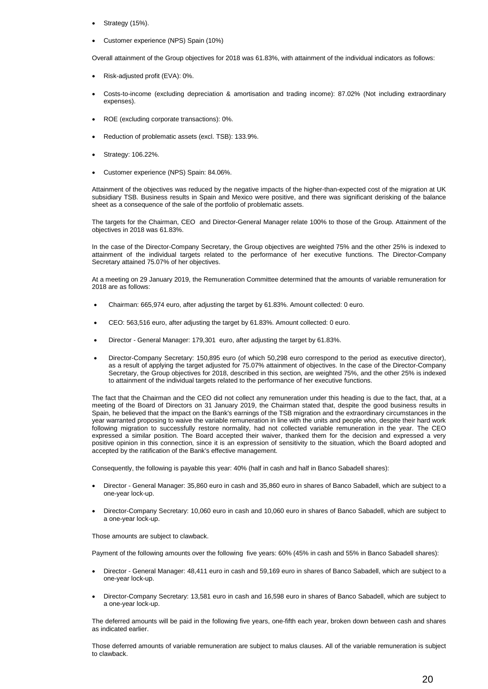- Strategy (15%).
- Customer experience (NPS) Spain (10%)

Overall attainment of the Group objectives for 2018 was 61.83%, with attainment of the individual indicators as follows:

- Risk-adjusted profit (EVA): 0%.
- Costs-to-income (excluding depreciation & amortisation and trading income): 87.02% (Not including extraordinary expenses).
- ROE (excluding corporate transactions): 0%.
- Reduction of problematic assets (excl. TSB): 133.9%.
- Strategy: 106.22%.
- Customer experience (NPS) Spain: 84.06%.

Attainment of the objectives was reduced by the negative impacts of the higher-than-expected cost of the migration at UK subsidiary TSB. Business results in Spain and Mexico were positive, and there was significant derisking of the balance sheet as a consequence of the sale of the portfolio of problematic assets.

The targets for the Chairman, CEO and Director-General Manager relate 100% to those of the Group. Attainment of the objectives in 2018 was 61.83%.

In the case of the Director-Company Secretary, the Group objectives are weighted 75% and the other 25% is indexed to attainment of the individual targets related to the performance of her executive functions. The Director-Company Secretary attained 75.07% of her objectives.

At a meeting on 29 January 2019, the Remuneration Committee determined that the amounts of variable remuneration for 2018 are as follows:

- Chairman: 665,974 euro, after adjusting the target by 61.83%. Amount collected: 0 euro.
- CEO: 563,516 euro, after adjusting the target by 61.83%. Amount collected: 0 euro.
- Director General Manager: 179,301 euro, after adjusting the target by 61.83%.
- Director-Company Secretary: 150,895 euro (of which 50,298 euro correspond to the period as executive director), as a result of applying the target adjusted for 75.07% attainment of objectives. In the case of the Director-Company Secretary, the Group objectives for 2018, described in this section, are weighted 75%, and the other 25% is indexed to attainment of the individual targets related to the performance of her executive functions.

The fact that the Chairman and the CEO did not collect any remuneration under this heading is due to the fact, that, at a meeting of the Board of Directors on 31 January 2019, the Chairman stated that, despite the good business results in Spain, he believed that the impact on the Bank's earnings of the TSB migration and the extraordinary circumstances in the year warranted proposing to waive the variable remuneration in line with the units and people who, despite their hard work following migration to successfully restore normality, had not collected variable remuneration in the year. The CEO expressed a similar position. The Board accepted their waiver, thanked them for the decision and expressed a very positive opinion in this connection, since it is an expression of sensitivity to the situation, which the Board adopted and accepted by the ratification of the Bank's effective management.

Consequently, the following is payable this year: 40% (half in cash and half in Banco Sabadell shares):

- Director General Manager: 35,860 euro in cash and 35,860 euro in shares of Banco Sabadell, which are subject to a one-year lock-up.
- Director-Company Secretary: 10,060 euro in cash and 10,060 euro in shares of Banco Sabadell, which are subject to a one-year lock-up.

Those amounts are subject to clawback.

Payment of the following amounts over the following five years: 60% (45% in cash and 55% in Banco Sabadell shares):

- Director General Manager: 48,411 euro in cash and 59,169 euro in shares of Banco Sabadell, which are subject to a one-year lock-up.
- Director-Company Secretary: 13,581 euro in cash and 16,598 euro in shares of Banco Sabadell, which are subject to a one-year lock-up.

The deferred amounts will be paid in the following five years, one-fifth each year, broken down between cash and shares as indicated earlier.

Those deferred amounts of variable remuneration are subject to malus clauses. All of the variable remuneration is subject to clawback.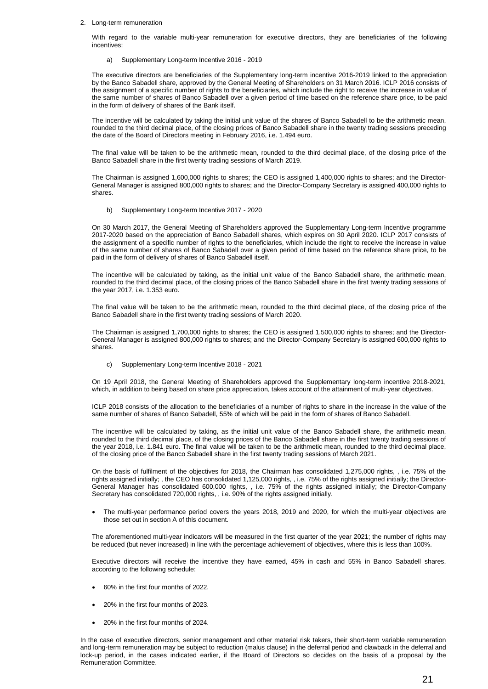#### 2. Long-term remuneration

With regard to the variable multi-year remuneration for executive directors, they are beneficiaries of the following incentives:

a) Supplementary Long-term Incentive 2016 - 2019

The executive directors are beneficiaries of the Supplementary long-term incentive 2016-2019 linked to the appreciation by the Banco Sabadell share, approved by the General Meeting of Shareholders on 31 March 2016. ICLP 2016 consists of the assignment of a specific number of rights to the beneficiaries, which include the right to receive the increase in value of the same number of shares of Banco Sabadell over a given period of time based on the reference share price, to be paid in the form of delivery of shares of the Bank itself.

The incentive will be calculated by taking the initial unit value of the shares of Banco Sabadell to be the arithmetic mean, rounded to the third decimal place, of the closing prices of Banco Sabadell share in the twenty trading sessions preceding the date of the Board of Directors meeting in February 2016, i.e. 1.494 euro.

The final value will be taken to be the arithmetic mean, rounded to the third decimal place, of the closing price of the Banco Sabadell share in the first twenty trading sessions of March 2019.

The Chairman is assigned 1,600,000 rights to shares; the CEO is assigned 1,400,000 rights to shares; and the Director-General Manager is assigned 800,000 rights to shares; and the Director-Company Secretary is assigned 400,000 rights to shares.

b) Supplementary Long-term Incentive 2017 - 2020

On 30 March 2017, the General Meeting of Shareholders approved the Supplementary Long-term Incentive programme 2017-2020 based on the appreciation of Banco Sabadell shares, which expires on 30 April 2020. ICLP 2017 consists of the assignment of a specific number of rights to the beneficiaries, which include the right to receive the increase in value of the same number of shares of Banco Sabadell over a given period of time based on the reference share price, to be paid in the form of delivery of shares of Banco Sabadell itself.

The incentive will be calculated by taking, as the initial unit value of the Banco Sabadell share, the arithmetic mean, rounded to the third decimal place, of the closing prices of the Banco Sabadell share in the first twenty trading sessions of the year 2017, i.e. 1.353 euro.

The final value will be taken to be the arithmetic mean, rounded to the third decimal place, of the closing price of the Banco Sabadell share in the first twenty trading sessions of March 2020.

The Chairman is assigned 1,700,000 rights to shares; the CEO is assigned 1,500,000 rights to shares; and the Director-General Manager is assigned 800,000 rights to shares; and the Director-Company Secretary is assigned 600,000 rights to shares.

c) Supplementary Long-term Incentive 2018 - 2021

On 19 April 2018, the General Meeting of Shareholders approved the Supplementary long-term incentive 2018-2021, which, in addition to being based on share price appreciation, takes account of the attainment of multi-year objectives.

ICLP 2018 consists of the allocation to the beneficiaries of a number of rights to share in the increase in the value of the same number of shares of Banco Sabadell, 55% of which will be paid in the form of shares of Banco Sabadell.

The incentive will be calculated by taking, as the initial unit value of the Banco Sabadell share, the arithmetic mean, rounded to the third decimal place, of the closing prices of the Banco Sabadell share in the first twenty trading sessions of the year 2018, i.e. 1.841 euro. The final value will be taken to be the arithmetic mean, rounded to the third decimal place, of the closing price of the Banco Sabadell share in the first twenty trading sessions of March 2021.

On the basis of fulfilment of the objectives for 2018, the Chairman has consolidated 1,275,000 rights, , i.e. 75% of the rights assigned initially; , the CEO has consolidated 1,125,000 rights, , i.e. 75% of the rights assigned initially; the Director-General Manager has consolidated 600,000 rights, , i.e. 75% of the rights assigned initially; the Director-Company Secretary has consolidated 720,000 rights, , i.e. 90% of the rights assigned initially.

 The multi-year performance period covers the years 2018, 2019 and 2020, for which the multi-year objectives are those set out in section A of this document.

The aforementioned multi-year indicators will be measured in the first quarter of the year 2021; the number of rights may be reduced (but never increased) in line with the percentage achievement of objectives, where this is less than 100%.

Executive directors will receive the incentive they have earned, 45% in cash and 55% in Banco Sabadell shares, according to the following schedule:

- 60% in the first four months of 2022.
- 20% in the first four months of 2023.
- 20% in the first four months of 2024.

In the case of executive directors, senior management and other material risk takers, their short-term variable remuneration and long-term remuneration may be subject to reduction (malus clause) in the deferral period and clawback in the deferral and lock-up period, in the cases indicated earlier, if the Board of Directors so decides on the basis of a proposal by the Remuneration Committee.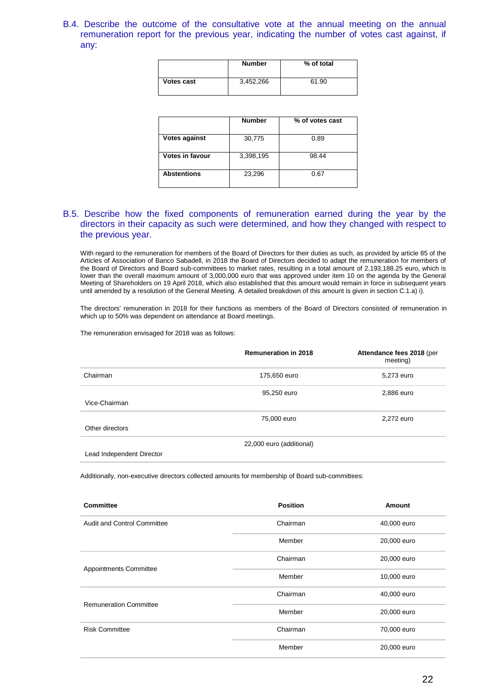B.4. Describe the outcome of the consultative vote at the annual meeting on the annual remuneration report for the previous year, indicating the number of votes cast against, if any:

|                   | <b>Number</b> | % of total |
|-------------------|---------------|------------|
| <b>Votes cast</b> | 3,452,266     | 61.90      |

|                      | <b>Number</b> | % of votes cast |
|----------------------|---------------|-----------------|
| <b>Votes against</b> | 30,775        | 0.89            |
| Votes in favour      | 3,398,195     | 98.44           |
| <b>Abstentions</b>   | 23,296        | 0.67            |
|                      |               |                 |

### B.5. Describe how the fixed components of remuneration earned during the year by the directors in their capacity as such were determined, and how they changed with respect to the previous year.

With regard to the remuneration for members of the Board of Directors for their duties as such, as provided by article 85 of the Articles of Association of Banco Sabadell, in 2018 the Board of Directors decided to adapt the remuneration for members of the Board of Directors and Board sub-committees to market rates, resulting in a total amount of 2,193,188.25 euro, which is lower than the overall maximum amount of 3,000,000 euro that was approved under item 10 on the agenda by the General Meeting of Shareholders on 19 April 2018, which also established that this amount would remain in force in subsequent years until amended by a resolution of the General Meeting. A detailed breakdown of this amount is given in section C.1.a) i).

The directors' remuneration in 2018 for their functions as members of the Board of Directors consisted of remuneration in which up to 50% was dependent on attendance at Board meetings.

The remuneration envisaged for 2018 was as follows:

|                           | <b>Remuneration in 2018</b> | Attendance fees 2018 (per<br>meeting) |
|---------------------------|-----------------------------|---------------------------------------|
| Chairman                  | 175,650 euro                | 5,273 euro                            |
| Vice-Chairman             | 95,250 euro                 | 2,886 euro                            |
| Other directors           | 75,000 euro                 | 2,272 euro                            |
| Lead Independent Director | 22,000 euro (additional)    |                                       |

Additionally, non-executive directors collected amounts for membership of Board sub-committees:

| <b>Committee</b>                   | <b>Position</b> | Amount      |
|------------------------------------|-----------------|-------------|
| <b>Audit and Control Committee</b> | Chairman        | 40,000 euro |
|                                    | Member          | 20,000 euro |
| Appointments Committee             | Chairman        | 20,000 euro |
|                                    | Member          | 10,000 euro |
| <b>Remuneration Committee</b>      | Chairman        | 40,000 euro |
|                                    | Member          | 20,000 euro |
| <b>Risk Committee</b>              | Chairman        | 70,000 euro |
|                                    | Member          | 20,000 euro |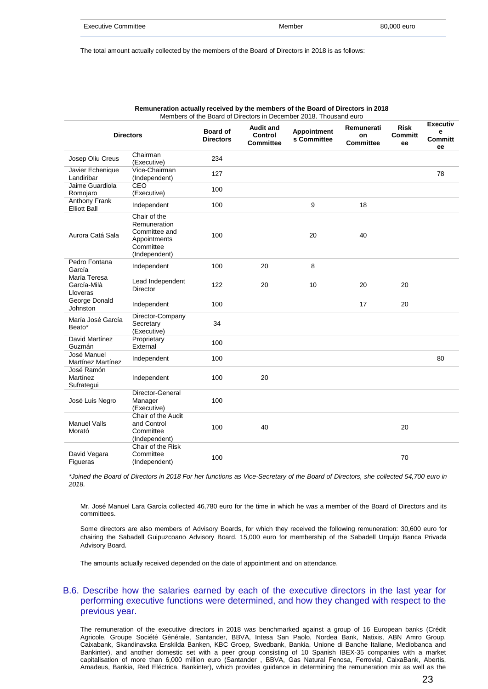| <b>Executive Committee</b> | Member | 80,000 euro |
|----------------------------|--------|-------------|
|                            |        |             |

The total amount actually collected by the members of the Board of Directors in 2018 is as follows:

|                                         | <b>Directors</b>                                                                            | <b>Board of</b><br><b>Directors</b> | <b>Audit and</b><br>Control<br><b>Committee</b> | <b>Appointment</b><br>s Committee | Remunerati<br>on<br><b>Committee</b> | <b>Risk</b><br><b>Committ</b><br>ee | <b>Executiv</b><br>e<br><b>Committ</b><br>ee |
|-----------------------------------------|---------------------------------------------------------------------------------------------|-------------------------------------|-------------------------------------------------|-----------------------------------|--------------------------------------|-------------------------------------|----------------------------------------------|
| Josep Oliu Creus                        | Chairman<br>(Executive)                                                                     | 234                                 |                                                 |                                   |                                      |                                     |                                              |
| Javier Echenique<br>Landiribar          | Vice-Chairman<br>(Independent)                                                              | 127                                 |                                                 |                                   |                                      |                                     | 78                                           |
| Jaime Guardiola<br>Romojaro             | CEO<br>(Executive)                                                                          | 100                                 |                                                 |                                   |                                      |                                     |                                              |
| Anthony Frank<br><b>Elliott Ball</b>    | Independent                                                                                 | 100                                 |                                                 | 9                                 | 18                                   |                                     |                                              |
| Aurora Catá Sala                        | Chair of the<br>Remuneration<br>Committee and<br>Appointments<br>Committee<br>(Independent) | 100                                 |                                                 | 20                                | 40                                   |                                     |                                              |
| Pedro Fontana<br>García                 | Independent                                                                                 | 100                                 | 20                                              | 8                                 |                                      |                                     |                                              |
| María Teresa<br>García-Milà<br>Lloveras | Lead Independent<br>Director                                                                | 122                                 | 20                                              | 10                                | 20                                   | 20                                  |                                              |
| George Donald<br>Johnston               | Independent                                                                                 | 100                                 |                                                 |                                   | 17                                   | 20                                  |                                              |
| María José García<br>Beato*             | Director-Company<br>Secretary<br>(Executive)                                                | 34                                  |                                                 |                                   |                                      |                                     |                                              |
| David Martínez<br>Guzmán                | Proprietary<br>External                                                                     | 100                                 |                                                 |                                   |                                      |                                     |                                              |
| José Manuel<br><b>Martínez Martínez</b> | Independent                                                                                 | 100                                 |                                                 |                                   |                                      |                                     | 80                                           |
| José Ramón<br>Martínez<br>Sufrategui    | Independent                                                                                 | 100                                 | 20                                              |                                   |                                      |                                     |                                              |
| José Luis Negro                         | Director-General<br>Manager<br>(Executive)                                                  | 100                                 |                                                 |                                   |                                      |                                     |                                              |
| <b>Manuel Valls</b><br>Morató           | Chair of the Audit<br>and Control<br>Committee<br>(Independent)                             | 100                                 | 40                                              |                                   |                                      | 20                                  |                                              |
| David Vegara<br>Figueras                | Chair of the Risk<br>Committee<br>(Independent)                                             | 100                                 |                                                 |                                   |                                      | 70                                  |                                              |

**Remuneration actually received by the members of the Board of Directors in 2018** Members of the Board of Directors in December 2018. Thousand euro

\*Joined the Board of Directors in 2018 For her functions as Vice-Secretary of the Board of Directors, she collected 54,700 euro in *2018.*

Mr. José Manuel Lara García collected 46,780 euro for the time in which he was a member of the Board of Directors and its committees.

Some directors are also members of Advisory Boards, for which they received the following remuneration: 30,600 euro for chairing the Sabadell Guipuzcoano Advisory Board. 15,000 euro for membership of the Sabadell Urquijo Banca Privada Advisory Board.

The amounts actually received depended on the date of appointment and on attendance.

### B.6. Describe how the salaries earned by each of the executive directors in the last year for performing executive functions were determined, and how they changed with respect to the previous year.

The remuneration of the executive directors in 2018 was benchmarked against a group of 16 European banks (Crédit Agricole, Groupe Société Générale, Santander, BBVA, Intesa San Paolo, Nordea Bank, Natixis, ABN Amro Group, Caixabank, Skandinavska Enskilda Banken, KBC Groep, Swedbank, Bankia, Unione di Banche Italiane, Mediobanca and Bankinter), and another domestic set with a peer group consisting of 10 Spanish IBEX-35 companies with a market capitalisation of more than 6,000 million euro (Santander , BBVA, Gas Natural Fenosa, Ferrovial, CaixaBank, Abertis, Amadeus, Bankia, Red Eléctrica, Bankinter), which provides guidance in determining the remuneration mix as well as the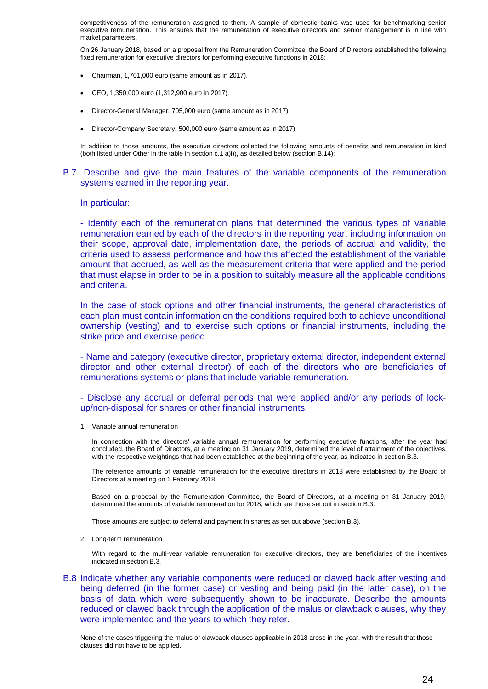competitiveness of the remuneration assigned to them. A sample of domestic banks was used for benchmarking senior executive remuneration. This ensures that the remuneration of executive directors and senior management is in line with market parameters.

On 26 January 2018, based on a proposal from the Remuneration Committee, the Board of Directors established the following fixed remuneration for executive directors for performing executive functions in 2018:

- Chairman, 1,701,000 euro (same amount as in 2017).
- CEO, 1,350,000 euro (1,312,900 euro in 2017).
- Director-General Manager, 705,000 euro (same amount as in 2017)
- Director-Company Secretary, 500,000 euro (same amount as in 2017)

In addition to those amounts, the executive directors collected the following amounts of benefits and remuneration in kind (both listed under Other in the table in section c.1 a)i)), as detailed below (section B.14):

#### B.7. Describe and give the main features of the variable components of the remuneration systems earned in the reporting year.

#### In particular:

- Identify each of the remuneration plans that determined the various types of variable remuneration earned by each of the directors in the reporting year, including information on their scope, approval date, implementation date, the periods of accrual and validity, the criteria used to assess performance and how this affected the establishment of the variable amount that accrued, as well as the measurement criteria that were applied and the period that must elapse in order to be in a position to suitably measure all the applicable conditions and criteria.

In the case of stock options and other financial instruments, the general characteristics of each plan must contain information on the conditions required both to achieve unconditional ownership (vesting) and to exercise such options or financial instruments, including the strike price and exercise period.

- Name and category (executive director, proprietary external director, independent external director and other external director) of each of the directors who are beneficiaries of remunerations systems or plans that include variable remuneration.

- Disclose any accrual or deferral periods that were applied and/or any periods of lockup/non-disposal for shares or other financial instruments.

1. Variable annual remuneration

In connection with the directors' variable annual remuneration for performing executive functions, after the year had concluded, the Board of Directors, at a meeting on 31 January 2019, determined the level of attainment of the objectives, with the respective weightings that had been established at the beginning of the year, as indicated in section B.3.

The reference amounts of variable remuneration for the executive directors in 2018 were established by the Board of Directors at a meeting on 1 February 2018.

Based on a proposal by the Remuneration Committee, the Board of Directors, at a meeting on 31 January 2019, determined the amounts of variable remuneration for 2018, which are those set out in section B.3.

Those amounts are subject to deferral and payment in shares as set out above (section B.3).

2. Long-term remuneration

With regard to the multi-year variable remuneration for executive directors, they are beneficiaries of the incentives indicated in section B.3.

### B.8 Indicate whether any variable components were reduced or clawed back after vesting and being deferred (in the former case) or vesting and being paid (in the latter case), on the basis of data which were subsequently shown to be inaccurate. Describe the amounts reduced or clawed back through the application of the malus or clawback clauses, why they were implemented and the years to which they refer.

None of the cases triggering the malus or clawback clauses applicable in 2018 arose in the year, with the result that those clauses did not have to be applied.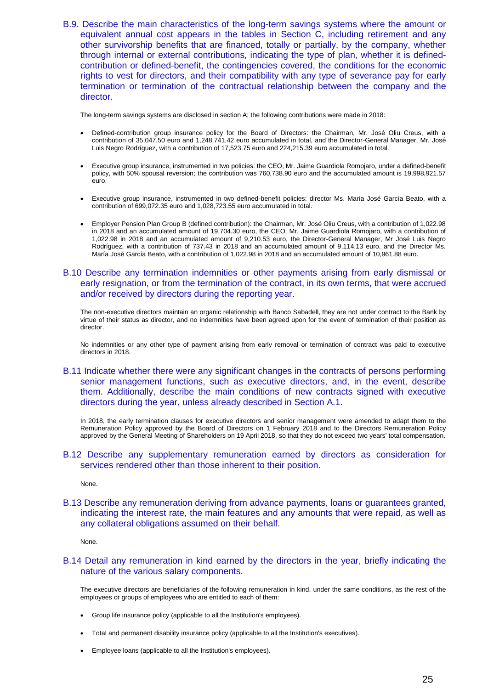B.9. Describe the main characteristics of the long-term savings systems where the amount or equivalent annual cost appears in the tables in Section C, including retirement and any other survivorship benefits that are financed, totally or partially, by the company, whether through internal or external contributions, indicating the type of plan, whether it is definedcontribution or defined-benefit, the contingencies covered, the conditions for the economic rights to vest for directors, and their compatibility with any type of severance pay for early termination or termination of the contractual relationship between the company and the director.

The long-term savings systems are disclosed in section A; the following contributions were made in 2018:

- Defined-contribution group insurance policy for the Board of Directors: the Chairman, Mr. José Oliu Creus, with a contribution of 35,047.50 euro and 1,248,741.42 euro accumulated in total, and the Director-General Manager, Mr. José Luis Negro Rodríguez, with a contribution of 17,523.75 euro and 224,215.39 euro accumulated in total.
- Executive group insurance, instrumented in two policies: the CEO, Mr. Jaime Guardiola Romojaro, under a defined-benefit policy, with 50% spousal reversion; the contribution was 760,738.90 euro and the accumulated amount is 19,998,921.57 euro.
- Executive group insurance, instrumented in two defined-benefit policies: director Ms. María José García Beato, with a contribution of 699,072.35 euro and 1,028,723.55 euro accumulated in total.
- Employer Pension Plan Group B (defined contribution): the Chairman, Mr. José Oliu Creus, with a contribution of 1,022.98 in 2018 and an accumulated amount of 19,704.30 euro, the CEO, Mr. Jaime Guardiola Romojaro, with a contribution of 1,022.98 in 2018 and an accumulated amount of 9,210.53 euro, the Director-General Manager, Mr José Luis Negro Rodríguez, with a contribution of 737.43 in 2018 and an accumulated amount of 9,114.13 euro, and the Director Ms. María José García Beato, with a contribution of 1,022.98 in 2018 and an accumulated amount of 10,961.88 euro.
- B.10 Describe any termination indemnities or other payments arising from early dismissal or early resignation, or from the termination of the contract, in its own terms, that were accrued and/or received by directors during the reporting year.

The non-executive directors maintain an organic relationship with Banco Sabadell, they are not under contract to the Bank by virtue of their status as director, and no indemnities have been agreed upon for the event of termination of their position as director.

No indemnities or any other type of payment arising from early removal or termination of contract was paid to executive directors in 2018.

B.11 Indicate whether there were any significant changes in the contracts of persons performing senior management functions, such as executive directors, and, in the event, describe them. Additionally, describe the main conditions of new contracts signed with executive directors during the year, unless already described in Section A.1.

In 2018, the early termination clauses for executive directors and senior management were amended to adapt them to the Remuneration Policy approved by the Board of Directors on 1 February 2018 and to the Directors Remuneration Policy approved by the General Meeting of Shareholders on 19 April 2018, so that they do not exceed two years' total compensation.

B.12 Describe any supplementary remuneration earned by directors as consideration for services rendered other than those inherent to their position.

None.

B.13 Describe any remuneration deriving from advance payments, loans or guarantees granted, indicating the interest rate, the main features and any amounts that were repaid, as well as any collateral obligations assumed on their behalf.

None.

B.14 Detail any remuneration in kind earned by the directors in the year, briefly indicating the nature of the various salary components.

The executive directors are beneficiaries of the following remuneration in kind, under the same conditions, as the rest of the employees or groups of employees who are entitled to each of them:

- Group life insurance policy (applicable to all the Institution's employees).
- Total and permanent disability insurance policy (applicable to all the Institution's executives).
- Employee loans (applicable to all the Institution's employees).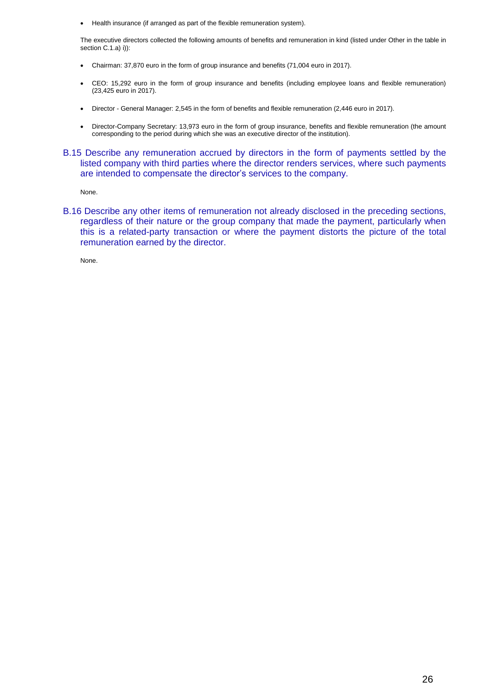Health insurance (if arranged as part of the flexible remuneration system).

The executive directors collected the following amounts of benefits and remuneration in kind (listed under Other in the table in section C.1.a) i)):

- Chairman: 37,870 euro in the form of group insurance and benefits (71,004 euro in 2017).
- CEO: 15,292 euro in the form of group insurance and benefits (including employee loans and flexible remuneration) (23,425 euro in 2017).
- Director General Manager: 2,545 in the form of benefits and flexible remuneration (2,446 euro in 2017).
- Director-Company Secretary: 13,973 euro in the form of group insurance, benefits and flexible remuneration (the amount corresponding to the period during which she was an executive director of the institution).
- B.15 Describe any remuneration accrued by directors in the form of payments settled by the listed company with third parties where the director renders services, where such payments are intended to compensate the director's services to the company.

None.

B.16 Describe any other items of remuneration not already disclosed in the preceding sections, regardless of their nature or the group company that made the payment, particularly when this is a related-party transaction or where the payment distorts the picture of the total remuneration earned by the director.

None.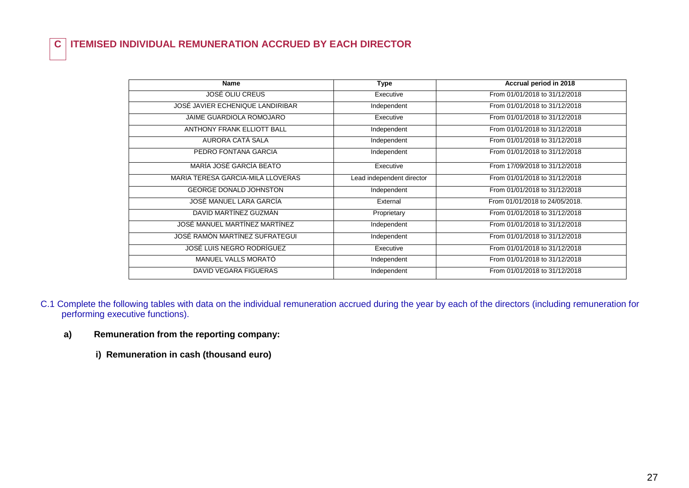# **C ITEMISED INDIVIDUAL REMUNERATION ACCRUED BY EACH DIRECTOR**

| <b>Name</b>                       | Type                      | Accrual period in 2018         |
|-----------------------------------|---------------------------|--------------------------------|
| JOSÉ OLIU CREUS                   | Executive                 | From 01/01/2018 to 31/12/2018  |
| JOSÉ JAVIER ECHENIQUE LANDIRIBAR  | Independent               | From 01/01/2018 to 31/12/2018  |
| <b>JAIME GUARDIOLA ROMOJARO</b>   | Executive                 | From 01/01/2018 to 31/12/2018  |
| <b>ANTHONY FRANK ELLIOTT BALL</b> | Independent               | From 01/01/2018 to 31/12/2018  |
| AURORA CATÁ SALA                  | Independent               | From 01/01/2018 to 31/12/2018  |
| PEDRO FONTANA GARCIA              | Independent               | From 01/01/2018 to 31/12/2018  |
| MARÍA JOSÉ GARCÍA BEATO           | Executive                 | From 17/09/2018 to 31/12/2018  |
| MARIA TERESA GARCIA-MILÀ LLOVERAS | Lead independent director | From 01/01/2018 to 31/12/2018  |
| <b>GEORGE DONALD JOHNSTON</b>     | Independent               | From 01/01/2018 to 31/12/2018  |
| JOSÉ MANUEL LARA GARCÍA           | External                  | From 01/01/2018 to 24/05/2018. |
| DAVID MARTÍNEZ GUZMÁN             | Proprietary               | From 01/01/2018 to 31/12/2018  |
| JOSÉ MANUEL MARTÍNEZ MARTÍNEZ     | Independent               | From 01/01/2018 to 31/12/2018  |
| JOSÉ RAMÓN MARTÍNEZ SUFRATEGUI    | Independent               | From 01/01/2018 to 31/12/2018  |
| JOSÉ LUIS NEGRO RODRÍGUEZ         | Executive                 | From 01/01/2018 to 31/12/2018  |
| MANUEL VALLS MORATÓ               | Independent               | From 01/01/2018 to 31/12/2018  |
| DAVID VEGARA FIGUERAS             | Independent               | From 01/01/2018 to 31/12/2018  |

- C.1 Complete the following tables with data on the individual remuneration accrued during the year by each of the directors (including remuneration for performing executive functions).
	- **a) Remuneration from the reporting company:**
		- **i) Remuneration in cash (thousand euro)**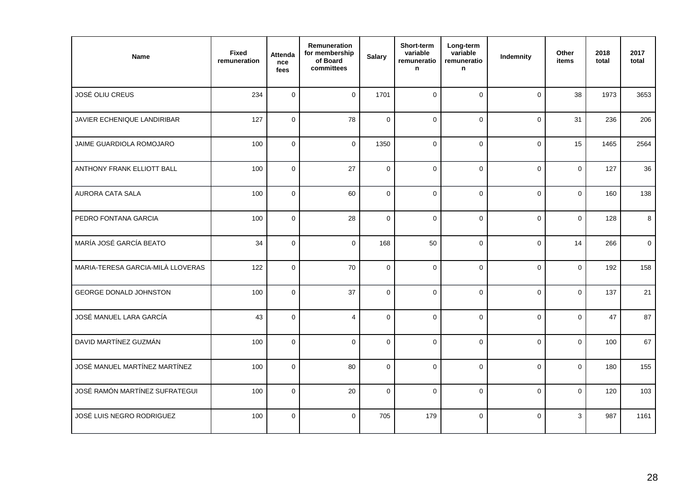| Name                              | <b>Fixed</b><br>remuneration | <b>Attenda</b><br>nce<br>fees | Remuneration<br>for membership<br>of Board<br>committees | <b>Salary</b> | Short-term<br>variable<br>remuneratio<br>n | Long-term<br>variable<br>remuneratio<br>n | Indemnity   | Other<br>items | 2018<br>total | 2017<br>total |
|-----------------------------------|------------------------------|-------------------------------|----------------------------------------------------------|---------------|--------------------------------------------|-------------------------------------------|-------------|----------------|---------------|---------------|
| JOSÉ OLIU CREUS                   | 234                          | $\mathbf 0$                   | $\mathbf 0$                                              | 1701          | $\mathbf{0}$                               | $\mathbf 0$                               | $\Omega$    | 38             | 1973          | 3653          |
| JAVIER ECHENIQUE LANDIRIBAR       | 127                          | $\mathsf{O}\xspace$           | 78                                                       | $\mathbf{0}$  | $\mathbf{0}$                               | $\mathbf{0}$                              | $\mathbf 0$ | 31             | 236           | 206           |
| JAIME GUARDIOLA ROMOJARO          | 100                          | $\mathbf 0$                   | $\Omega$                                                 | 1350          | $\mathbf{0}$                               | $\Omega$                                  | $\Omega$    | 15             | 1465          | 2564          |
| ANTHONY FRANK ELLIOTT BALL        | 100                          | $\pmb{0}$                     | 27                                                       | $\pmb{0}$     | $\mathsf 0$                                | $\mathbf 0$                               | $\mathbf 0$ | $\mathbf{0}$   | 127           | 36            |
| AURORA CATA SALA                  | 100                          | $\pmb{0}$                     | 60                                                       | $\pmb{0}$     | $\mathbf 0$                                | $\pmb{0}$                                 | $\mathbf 0$ | $\mathbf{0}$   | 160           | 138           |
| PEDRO FONTANA GARCIA              | 100                          | $\mathsf{O}\xspace$           | 28                                                       | $\mathbf 0$   | $\mathbf 0$                                | $\mathbf 0$                               | $\mathbf 0$ | 0              | 128           | 8             |
| MARÍA JOSÉ GARCÍA BEATO           | 34                           | $\mathbf 0$                   | $\mathbf{0}$                                             | 168           | 50                                         | $\mathbf{0}$                              | $\Omega$    | 14             | 266           | $\mathbf 0$   |
| MARIA-TERESA GARCIA-MILÀ LLOVERAS | 122                          | $\mathbf 0$                   | 70                                                       | $\mathbf{0}$  | $\mathbf{0}$                               | $\mathbf{0}$                              | $\Omega$    | $\Omega$       | 192           | 158           |
| GEORGE DONALD JOHNSTON            | 100                          | $\mathsf{O}\xspace$           | 37                                                       | $\pmb{0}$     | $\mathbf 0$                                | $\mathsf{O}\xspace$                       | $\mathbf 0$ | 0              | 137           | 21            |
| JOSÉ MANUEL LARA GARCÍA           | 43                           | $\mathsf 0$                   | $\overline{4}$                                           | $\mathbf 0$   | $\mathbf 0$                                | $\mathbf 0$                               | $\Omega$    | 0              | 47            | 87            |
| DAVID MARTÍNEZ GUZMÁN             | 100                          | $\pmb{0}$                     | $\mathbf 0$                                              | $\mathbf 0$   | $\mathbf 0$                                | $\mathbf 0$                               | $\mathbf 0$ | 0              | 100           | 67            |
| JOSÉ MANUEL MARTÍNEZ MARTÍNEZ     | 100                          | $\mathsf 0$                   | 80                                                       | $\mathbf 0$   | $\mathbf 0$                                | $\mathbf 0$                               | $\mathbf 0$ | 0              | 180           | 155           |
| JOSÉ RAMÓN MARTÍNEZ SUFRATEGUI    | 100                          | $\mathbf 0$                   | 20                                                       | $\Omega$      | $\Omega$                                   | $\Omega$                                  | $\Omega$    | $\Omega$       | 120           | 103           |
| JOSÉ LUIS NEGRO RODRIGUEZ         | 100                          | $\mathsf 0$                   | $\pmb{0}$                                                | 705           | 179                                        | $\pmb{0}$                                 | $\mathbf 0$ | 3              | 987           | 1161          |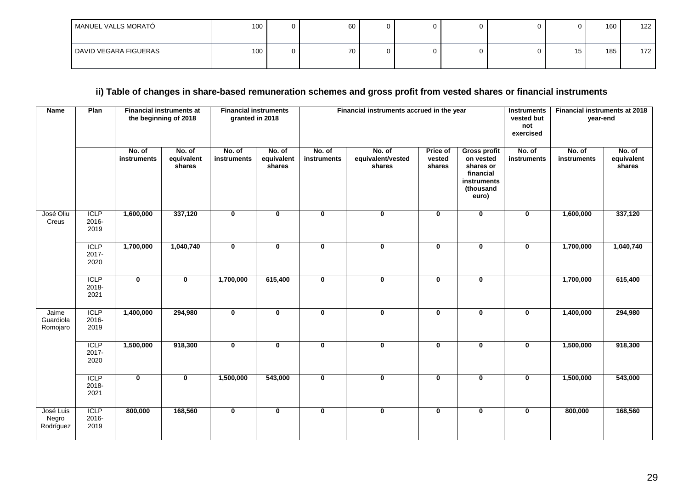| MANUEL VALLS MORATÓ   | 100 <sub>1</sub> | 60 | ◠<br>υ |  | <b>U</b> | 160 | 122 |
|-----------------------|------------------|----|--------|--|----------|-----|-----|
| DAVID VEGARA FIGUERAS | 100              | 70 | ⌒<br>υ |  |          | 185 | 172 |

# ii) Table of changes in share-based remuneration schemes and gross profit from vested shares or financial instruments

| <b>Name</b>                     | Plan                         | <b>Financial instruments</b><br><b>Financial instruments at</b><br>the beginning of 2018<br>granted in 2018 |                                |                       |                                |                       | Financial instruments accrued in the year | <b>Instruments</b><br>vested but<br>not<br>exercised | <b>Financial instruments at 2018</b><br>year-end                                                |                       |                       |                                |
|---------------------------------|------------------------------|-------------------------------------------------------------------------------------------------------------|--------------------------------|-----------------------|--------------------------------|-----------------------|-------------------------------------------|------------------------------------------------------|-------------------------------------------------------------------------------------------------|-----------------------|-----------------------|--------------------------------|
|                                 |                              | No. of<br>instruments                                                                                       | No. of<br>equivalent<br>shares | No. of<br>instruments | No. of<br>equivalent<br>shares | No. of<br>instruments | No. of<br>equivalent/vested<br>shares     | <b>Price of</b><br>vested<br>shares                  | <b>Gross profit</b><br>on vested<br>shares or<br>financial<br>instruments<br>(thousand<br>euro) | No. of<br>instruments | No. of<br>instruments | No. of<br>equivalent<br>shares |
| José Oliu<br>Creus              | <b>ICLP</b><br>2016-<br>2019 | 1,600,000                                                                                                   | 337,120                        | $\mathbf 0$           | $\bf{0}$                       | $\mathbf 0$           | 0                                         | $\mathbf 0$                                          | $\mathbf 0$                                                                                     | $\bf{0}$              | 1,600,000             | 337,120                        |
|                                 | <b>ICLP</b><br>2017-<br>2020 | 1,700,000                                                                                                   | 1,040,740                      | $\mathbf 0$           | $\mathbf 0$                    | $\mathbf{0}$          | 0                                         | $\mathbf{0}$                                         | 0                                                                                               | $\mathbf 0$           | 1,700,000             | 1,040,740                      |
|                                 | <b>ICLP</b><br>2018-<br>2021 | $\overline{\mathbf{0}}$                                                                                     | $\overline{\mathbf{0}}$        | 1,700,000             | 615,400                        | $\mathbf 0$           | 0                                         | $\mathbf{0}$                                         | $\mathbf 0$                                                                                     |                       | 1,700,000             | 615,400                        |
| Jaime<br>Guardiola<br>Romojaro  | <b>ICLP</b><br>2016-<br>2019 | 1,400,000                                                                                                   | 294,980                        | $\mathbf 0$           | $\mathbf 0$                    | $\mathbf 0$           | $\mathbf 0$                               | $\mathbf 0$                                          | $\mathbf 0$                                                                                     | $\mathbf 0$           | 1,400,000             | 294,980                        |
|                                 | <b>ICLP</b><br>2017-<br>2020 | 1,500,000                                                                                                   | 918,300                        | $\mathbf 0$           | $\mathbf 0$                    | $\mathbf 0$           | 0                                         | $\mathbf 0$                                          | 0                                                                                               | $\bf{0}$              | 1,500,000             | 918,300                        |
|                                 | <b>ICLP</b><br>2018-<br>2021 | $\overline{\mathbf{0}}$                                                                                     | $\overline{\mathbf{0}}$        | 1,500,000             | 543,000                        | $\mathbf 0$           | 0                                         | $\mathbf 0$                                          | 0                                                                                               | $\bf{0}$              | 1,500,000             | 543,000                        |
| José Luis<br>Negro<br>Rodríguez | <b>ICLP</b><br>2016-<br>2019 | 800,000                                                                                                     | 168,560                        | $\mathbf 0$           | $\mathbf 0$                    | $\mathbf 0$           | 0                                         | $\mathbf 0$                                          | $\mathbf 0$                                                                                     | $\mathbf 0$           | 800,000               | 168,560                        |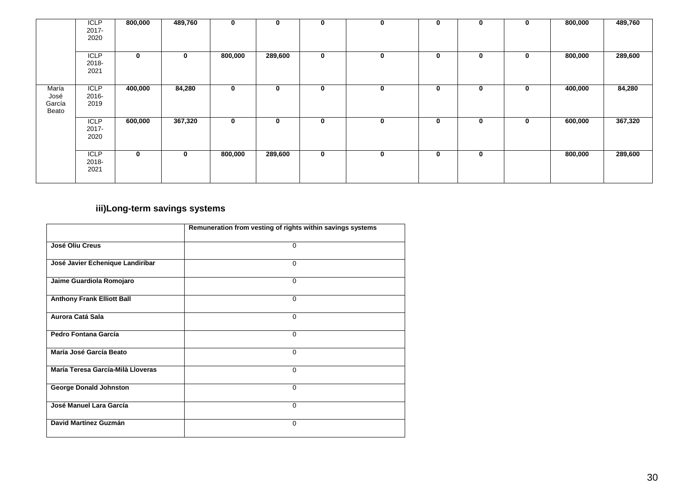|                                  | <b>ICLP</b><br>2017-<br>2020    | 800,000     | 489,760  | $\mathbf 0$ | $\bf{0}$ | $\mathbf 0$ | 0 | $\mathbf 0$ | $\mathbf 0$ | 0 | 800,000 | 489,760 |
|----------------------------------|---------------------------------|-------------|----------|-------------|----------|-------------|---|-------------|-------------|---|---------|---------|
|                                  | <b>ICLP</b><br>2018-<br>2021    | $\mathbf 0$ | $\bf{0}$ | 800,000     | 289,600  | $\mathbf 0$ | 0 | $\mathbf 0$ | 0           | 0 | 800,000 | 289,600 |
| María<br>José<br>García<br>Beato | <b>ICLP</b><br>2016-<br>2019    | 400,000     | 84,280   | $\mathbf 0$ | 0        | $\mathbf 0$ | 0 | $\mathbf 0$ | $\mathbf 0$ | 0 | 400,000 | 84,280  |
|                                  | <b>ICLP</b><br>$2017 -$<br>2020 | 600,000     | 367,320  | $\mathbf 0$ | 0        | $\mathbf 0$ | 0 | $\mathbf 0$ | 0           | 0 | 600,000 | 367,320 |
|                                  | <b>ICLP</b><br>2018-<br>2021    | $\bf{0}$    | $\bf{0}$ | 800,000     | 289,600  | $\mathbf 0$ | 0 | $\mathbf 0$ | $\mathbf 0$ |   | 800,000 | 289,600 |

# **iii)Long-term savings systems**

|                                   | Remuneration from vesting of rights within savings systems |
|-----------------------------------|------------------------------------------------------------|
| José Oliu Creus                   | 0                                                          |
| José Javier Echenique Landiribar  | $\Omega$                                                   |
| Jaime Guardiola Romojaro          | $\Omega$                                                   |
| <b>Anthony Frank Elliott Ball</b> | $\Omega$                                                   |
| Aurora Catá Sala                  | $\Omega$                                                   |
| Pedro Fontana García              | $\Omega$                                                   |
| María José García Beato           | $\Omega$                                                   |
| María Teresa García-Milà Lloveras | $\Omega$                                                   |
| <b>George Donald Johnston</b>     | $\Omega$                                                   |
| José Manuel Lara García           | $\mathbf 0$                                                |
| David Martínez Guzmán             | 0                                                          |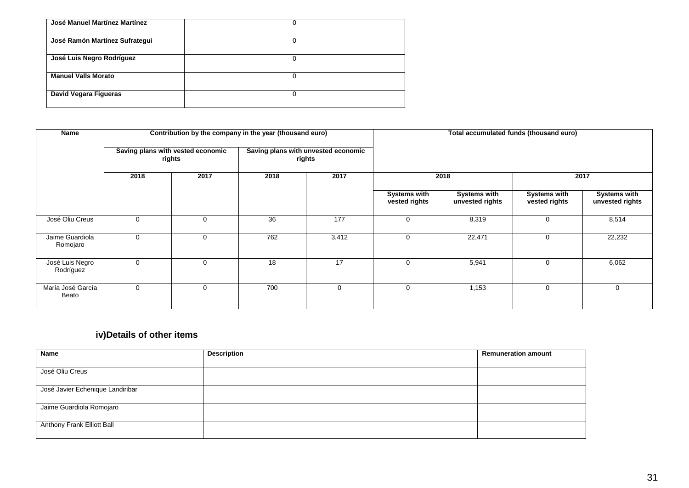| José Manuel Martínez Martínez  | 0 |
|--------------------------------|---|
| José Ramón Martínez Sufrategui | 0 |
| José Luis Negro Rodríguez      | 0 |
| <b>Manuel Valls Morato</b>     | 0 |
| David Vegara Figueras          | 0 |

| Name                         |                                             |   | Contribution by the company in the year (thousand euro) |                                               | Total accumulated funds (thousand euro) |                                        |                                      |                                        |  |
|------------------------------|---------------------------------------------|---|---------------------------------------------------------|-----------------------------------------------|-----------------------------------------|----------------------------------------|--------------------------------------|----------------------------------------|--|
|                              | Saving plans with vested economic<br>rights |   |                                                         | Saving plans with unvested economic<br>rights |                                         |                                        |                                      |                                        |  |
|                              | 2018<br>2017                                |   | 2018                                                    | 2017                                          |                                         | 2018                                   | 2017                                 |                                        |  |
|                              |                                             |   |                                                         |                                               | <b>Systems with</b><br>vested rights    | <b>Systems with</b><br>unvested rights | <b>Systems with</b><br>vested rights | <b>Systems with</b><br>unvested rights |  |
| José Oliu Creus              | 0                                           | 0 | 36                                                      | 177                                           | $\Omega$                                | 8,319                                  | 0                                    | 8,514                                  |  |
| Jaime Guardiola<br>Romojaro  |                                             | 0 | 762                                                     | 3,412                                         | $\Omega$                                | 22,471                                 | 0                                    | 22,232                                 |  |
| José Luis Negro<br>Rodríguez | $\Omega$                                    | 0 | 18                                                      | 17                                            | $\Omega$                                | 5,941                                  | 0                                    | 6,062                                  |  |
| María José García<br>Beato   | 0                                           | 0 | 700                                                     | $\mathbf 0$                                   | $\Omega$                                | 1,153                                  | 0                                    | 0                                      |  |

# **iv)Details of other items**

| <b>Name</b>                      | <b>Description</b> | <b>Remuneration amount</b> |
|----------------------------------|--------------------|----------------------------|
|                                  |                    |                            |
| José Oliu Creus                  |                    |                            |
|                                  |                    |                            |
| José Javier Echenique Landiribar |                    |                            |
|                                  |                    |                            |
| Jaime Guardiola Romojaro         |                    |                            |
|                                  |                    |                            |
| Anthony Frank Elliott Ball       |                    |                            |
|                                  |                    |                            |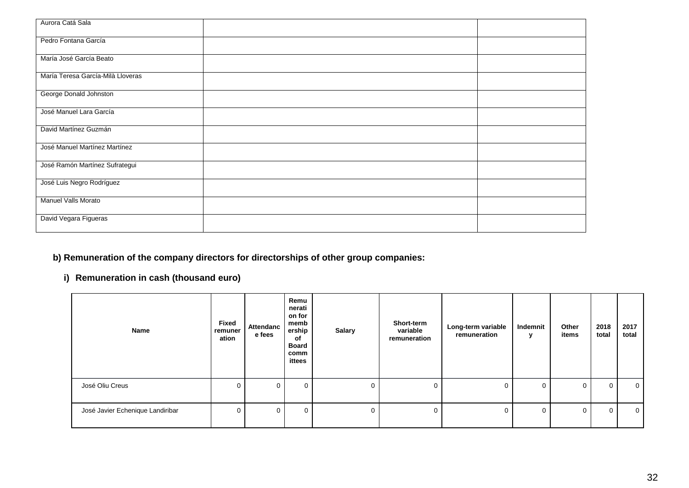| Aurora Catá Sala                  |  |
|-----------------------------------|--|
| Pedro Fontana García              |  |
| María José García Beato           |  |
| María Teresa García-Milà Lloveras |  |
| George Donald Johnston            |  |
| José Manuel Lara García           |  |
| David Martínez Guzmán             |  |
| José Manuel Martínez Martínez     |  |
| José Ramón Martínez Sufrategui    |  |
| José Luis Negro Rodríguez         |  |
| Manuel Valls Morato               |  |
| David Vegara Figueras             |  |

# **b) Remuneration of the company directors for directorships of other group companies:**

# **i) Remuneration in cash (thousand euro)**

| Name                             | Fixed<br>remuner<br>ation | Attendanc<br>e fees | Remu<br>nerati<br>on for<br>memb<br>ership<br>of<br><b>Board</b><br>comm<br>ittees | <b>Salary</b> | Short-term<br>variable<br>remuneration | Long-term variable<br>remuneration | Indemnit<br>v | Other<br>items | 2018<br>total | 2017<br>total  |
|----------------------------------|---------------------------|---------------------|------------------------------------------------------------------------------------|---------------|----------------------------------------|------------------------------------|---------------|----------------|---------------|----------------|
| José Oliu Creus                  |                           | 0                   | $\mathbf 0$                                                                        | 0             | $\Omega$                               | 0                                  | $\mathbf{0}$  | $\Omega$       | $\mathbf 0$   | $\overline{0}$ |
| José Javier Echenique Landiribar |                           | $\Omega$            | $\mathbf 0$                                                                        | 0             | $\Omega$                               | 0                                  | $\mathbf 0$   | $\Omega$       | $\Omega$      | $\Omega$       |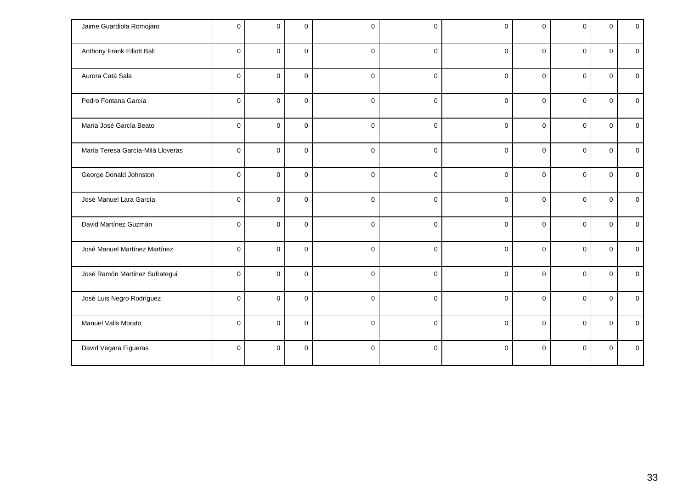| Jaime Guardiola Romojaro          | $\Omega$    | $\Omega$       | $\Omega$     | $\mathbf 0$  | 0           | $\Omega$    | $\Omega$    | 0            | $\Omega$     | $\mathbf 0$  |
|-----------------------------------|-------------|----------------|--------------|--------------|-------------|-------------|-------------|--------------|--------------|--------------|
| Anthony Frank Elliott Ball        | $\Omega$    | $\overline{0}$ | $\Omega$     | $\pmb{0}$    | $\mathbf 0$ | $\Omega$    | $\Omega$    | $\mathbf 0$  | $\mathbf{0}$ | $\mathbf{0}$ |
| Aurora Catá Sala                  | $\Omega$    | $\Omega$       | $\Omega$     | $\mathbf 0$  | $\mathbf 0$ | $\Omega$    | $\Omega$    | $\Omega$     | $\Omega$     | $\mathbf 0$  |
| Pedro Fontana García              | $\Omega$    | $\mathbf 0$    | $\mathbf{0}$ | $\pmb{0}$    | $\mathbf 0$ | $\mathbf 0$ | $\Omega$    | $\mathbf{0}$ | $\Omega$     | $\mathbf 0$  |
| María José García Beato           | $\Omega$    | $\mathbf 0$    | $\Omega$     | $\mathbf{0}$ | $\mathbf 0$ | $\Omega$    | $\Omega$    | $\Omega$     | $\Omega$     | $\mathbf{0}$ |
| María Teresa García-Milà Lloveras | $\Omega$    | $\mathbf 0$    | $\pmb{0}$    | $\pmb{0}$    | $\mathbf 0$ | $\mathbf 0$ | $\mathbf 0$ | $\mathbf{0}$ | $\mathbf 0$  | $\mathbf 0$  |
| George Donald Johnston            | $\Omega$    | $\mathbf 0$    | $\mathbf{0}$ | $\pmb{0}$    | $\mathbf 0$ | $\Omega$    | $\Omega$    | $\Omega$     | $\Omega$     | $\mathbf 0$  |
| José Manuel Lara García           | $\Omega$    | $\mathbf 0$    | $\Omega$     | $\mathbf{0}$ | $\mathbf 0$ | $\Omega$    | $\Omega$    | $\Omega$     | $\Omega$     | $\Omega$     |
| David Martínez Guzmán             | $\Omega$    | $\mathbf 0$    | $\mathbf 0$  | $\pmb{0}$    | $\mathbf 0$ | $\Omega$    | $\Omega$    | $\mathbf{0}$ | $\mathbf 0$  | $\mathbf 0$  |
| José Manuel Martínez Martínez     | $\mathbf 0$ | $\mathsf 0$    | $\mathbf 0$  | $\mathbf 0$  | $\mathbf 0$ | $\mathbf 0$ | $\mathbf 0$ | $\mathbf 0$  | $\mathbf 0$  | $\mathbf 0$  |
| José Ramón Martínez Sufrategui    | $\Omega$    | $\Omega$       | $\Omega$     | $\mathbf 0$  | $\mathbf 0$ | $\Omega$    | $\Omega$    | $\Omega$     | $\Omega$     | $\Omega$     |
| José Luis Negro Rodríguez         | $\Omega$    | $\Omega$       | $\Omega$     | $\mathbf 0$  | $\mathbf 0$ | $\Omega$    | $\Omega$    | $\Omega$     | $\Omega$     | $\mathbf 0$  |
| Manuel Valls Morato               | $\mathbf 0$ | $\mathsf 0$    | $\mathbf 0$  | $\mathbf 0$  | $\pmb{0}$   | $\mathbf 0$ | $\mathbf 0$ | $\mathbf 0$  | $\mathbf 0$  | $\mathbf 0$  |
| David Vegara Figueras             | $\Omega$    | $\Omega$       | $\Omega$     | $\mathbf 0$  | $\mathbf 0$ | $\Omega$    | $\Omega$    | $\Omega$     | $\Omega$     | $\Omega$     |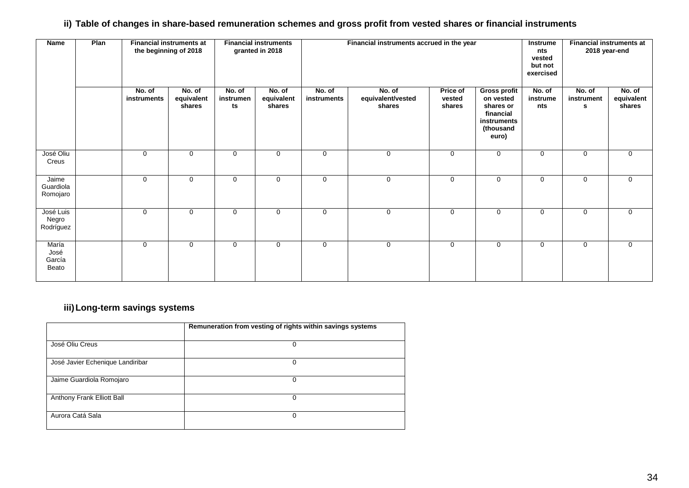## ii) Table of changes in share-based remuneration schemes and gross profit from vested shares or financial instruments

| <b>Name</b>                      | Plan | <b>Financial instruments at</b><br>the beginning of 2018 |                                | <b>Financial instruments</b><br>Financial instruments accrued in the year<br>Instrume<br>granted in 2018<br>nts<br>vested<br>but not<br>exercised |                                |                       |                                       | <b>Financial instruments at</b><br>2018 year-end |                                                                                                        |                           |                           |                                |
|----------------------------------|------|----------------------------------------------------------|--------------------------------|---------------------------------------------------------------------------------------------------------------------------------------------------|--------------------------------|-----------------------|---------------------------------------|--------------------------------------------------|--------------------------------------------------------------------------------------------------------|---------------------------|---------------------------|--------------------------------|
|                                  |      | No. of<br>instruments                                    | No. of<br>equivalent<br>shares | No. of<br>instrumen<br>ts                                                                                                                         | No. of<br>equivalent<br>shares | No. of<br>instruments | No. of<br>equivalent/vested<br>shares | Price of<br>vested<br>shares                     | <b>Gross profit</b><br>on vested<br>shares or<br>financial<br><b>instruments</b><br>(thousand<br>euro) | No. of<br>instrume<br>nts | No. of<br>instrument<br>s | No. of<br>equivalent<br>shares |
| José Oliu<br>Creus               |      | $\mathbf 0$                                              | $\mathbf 0$                    | 0                                                                                                                                                 | $\mathbf 0$                    | $\mathbf 0$           | $\mathbf 0$                           | $\mathbf 0$                                      | $\mathbf 0$                                                                                            | $\mathbf 0$               | $\mathbf 0$               | 0                              |
| Jaime<br>Guardiola<br>Romojaro   |      | $\mathbf 0$                                              | 0                              | $\mathbf 0$                                                                                                                                       | $\mathbf 0$                    | $\mathbf 0$           | $\mathbf 0$                           | $\mathbf 0$                                      | $\mathbf 0$                                                                                            | $\mathbf 0$               | $\mathbf 0$               | 0                              |
| José Luis<br>Negro<br>Rodríguez  |      | $\mathbf 0$                                              | $\mathbf 0$                    | $\mathbf 0$                                                                                                                                       | $\mathbf 0$                    | $\mathbf 0$           | $\mathbf 0$                           | $\mathbf 0$                                      | $\mathbf 0$                                                                                            | $\mathbf 0$               | $\mathbf 0$               | 0                              |
| María<br>José<br>García<br>Beato |      | $\mathbf 0$                                              | $\mathbf 0$                    | 0                                                                                                                                                 | $\mathbf 0$                    | $\mathbf 0$           | $\mathbf 0$                           | $\mathbf 0$                                      | 0                                                                                                      | 0                         | $\mathbf 0$               | $\mathbf 0$                    |

## **iii)Long-term savings systems**

|                                  | Remuneration from vesting of rights within savings systems |
|----------------------------------|------------------------------------------------------------|
| José Oliu Creus                  | 0                                                          |
| José Javier Echenique Landiribar | 0                                                          |
| Jaime Guardiola Romojaro         | 0                                                          |
| Anthony Frank Elliott Ball       | 0                                                          |
| Aurora Catá Sala                 | 0                                                          |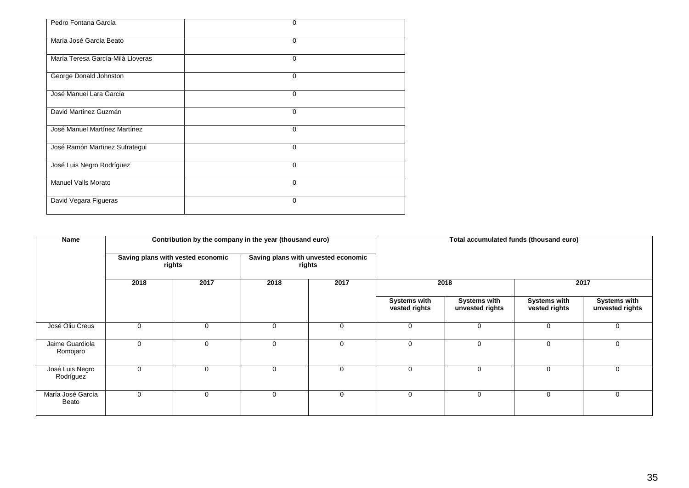| Pedro Fontana García              | 0           |
|-----------------------------------|-------------|
| María José García Beato           | $\mathbf 0$ |
| María Teresa García-Milà Lloveras | $\mathbf 0$ |
| George Donald Johnston            | $\mathbf 0$ |
| José Manuel Lara García           | $\Omega$    |
| David Martínez Guzmán             | $\mathbf 0$ |
| José Manuel Martínez Martínez     | $\Omega$    |
| José Ramón Martínez Sufrategui    | 0           |
| José Luis Negro Rodríguez         | $\Omega$    |
| <b>Manuel Valls Morato</b>        | 0           |
| David Vegara Figueras             | 0           |

| Name                         |      |                                             | Contribution by the company in the year (thousand euro) |      | Total accumulated funds (thousand euro) |                                        |                               |                                 |  |  |
|------------------------------|------|---------------------------------------------|---------------------------------------------------------|------|-----------------------------------------|----------------------------------------|-------------------------------|---------------------------------|--|--|
|                              |      | Saving plans with vested economic<br>rights | Saving plans with unvested economic<br>rights           |      |                                         |                                        |                               |                                 |  |  |
|                              | 2018 | 2017                                        | 2018                                                    | 2017 | 2018                                    |                                        | 2017                          |                                 |  |  |
|                              |      |                                             |                                                         |      | <b>Systems with</b><br>vested rights    | <b>Systems with</b><br>unvested rights | Systems with<br>vested rights | Systems with<br>unvested rights |  |  |
| José Oliu Creus              | 0    | 0                                           | 0                                                       | 0    | $\mathbf 0$                             | $\mathbf 0$                            | $\Omega$                      | $\mathbf 0$                     |  |  |
| Jaime Guardiola<br>Romojaro  | 0    | $\mathbf 0$                                 | $\Omega$                                                | 0    | $\mathbf 0$                             | 0                                      | $\Omega$                      | $\Omega$                        |  |  |
| José Luis Negro<br>Rodríguez | 0    | $\mathbf 0$                                 | $\Omega$                                                | 0    | $\Omega$                                | $\mathbf 0$                            | $\Omega$                      | 0                               |  |  |
| María José García<br>Beato   | 0    | $\mathbf 0$                                 | $\Omega$                                                | 0    | $\mathbf 0$                             | $\mathbf 0$                            | $\Omega$                      | $\mathbf 0$                     |  |  |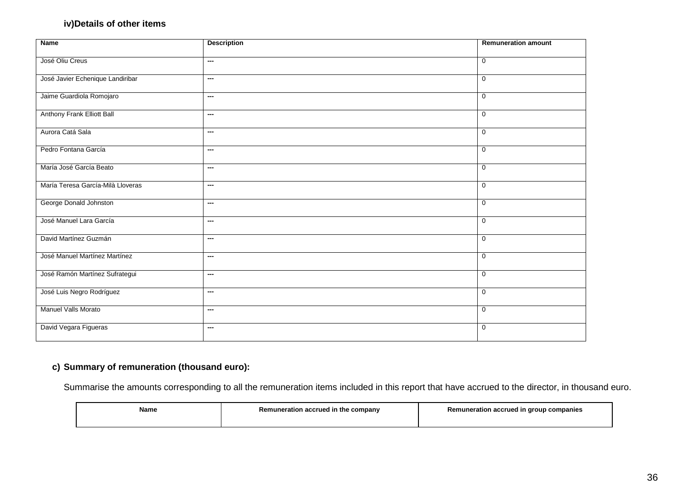## **iv)Details of other items**

| <b>Name</b>                       | <b>Description</b> | <b>Remuneration amount</b> |
|-----------------------------------|--------------------|----------------------------|
|                                   |                    |                            |
| José Oliu Creus                   | ---                | $\mathbf 0$                |
|                                   |                    |                            |
| José Javier Echenique Landiribar  | ---                | $\mathbf 0$                |
|                                   |                    |                            |
| Jaime Guardiola Romojaro          | ---                | $\mathbf 0$                |
| Anthony Frank Elliott Ball        | ---                | $\mathbf 0$                |
|                                   |                    |                            |
| Aurora Catá Sala                  | ---                | $\mathbf 0$                |
|                                   |                    |                            |
| Pedro Fontana García              | ---                | $\mathbf 0$                |
|                                   |                    |                            |
| María José García Beato           | ---                | $\mathbf 0$                |
|                                   |                    |                            |
| María Teresa García-Milà Lloveras | ---                | 0                          |
|                                   |                    |                            |
| George Donald Johnston            | ---                | $\mathbf 0$                |
| José Manuel Lara García           | ---                | $\mathbf 0$                |
|                                   |                    |                            |
| David Martínez Guzmán             | ---                | $\mathbf 0$                |
|                                   |                    |                            |
| José Manuel Martínez Martínez     | ---                | $\mathbf 0$                |
|                                   |                    |                            |
| José Ramón Martínez Sufrategui    | ---                | $\mathbf 0$                |
|                                   |                    |                            |
| José Luis Negro Rodríguez         | ---                | $\mathbf 0$                |
| Manuel Valls Morato               | ---                | $\mathbf 0$                |
|                                   |                    |                            |
| David Vegara Figueras             | ---                | $\mathbf 0$                |
|                                   |                    |                            |
|                                   |                    |                            |

## **c) Summary of remuneration (thousand euro):**

Summarise the amounts corresponding to all the remuneration items included in this report that have accrued to the director, in thousand euro.

| Name | Remuneration accrued in the company | Remuneration accrued in group companies |
|------|-------------------------------------|-----------------------------------------|
|      |                                     |                                         |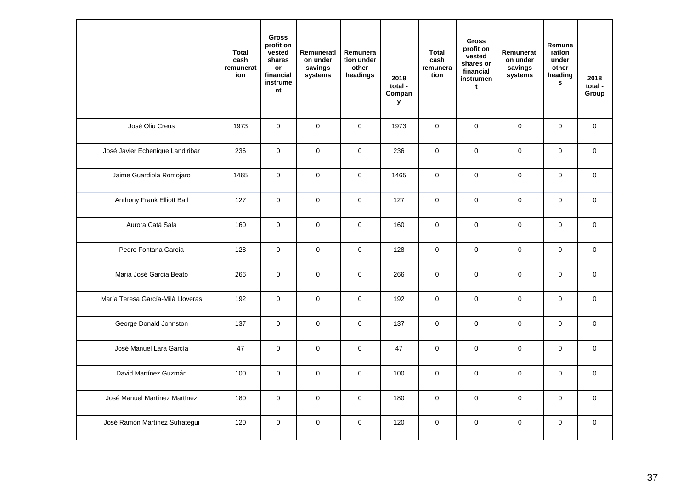|                                   | <b>Total</b><br>cash<br>remunerat<br>ion | <b>Gross</b><br>profit on<br>vested<br>shares<br>or<br>financial<br>instrume<br>nt | Remunerati<br>on under<br>savings<br>systems | Remunera<br>tion under<br>other<br>headings | 2018<br>total -<br>Compan<br>У | <b>Total</b><br>cash<br>remunera<br>tion | <b>Gross</b><br>profit on<br>vested<br>shares or<br>financial<br>instrumen<br>t | Remunerati<br>on under<br>savings<br>systems | Remune<br>ration<br>under<br>other<br>heading<br>s | 2018<br>total -<br>Group |
|-----------------------------------|------------------------------------------|------------------------------------------------------------------------------------|----------------------------------------------|---------------------------------------------|--------------------------------|------------------------------------------|---------------------------------------------------------------------------------|----------------------------------------------|----------------------------------------------------|--------------------------|
| José Oliu Creus                   | 1973                                     | $\mathbf 0$                                                                        | $\mathbf{0}$                                 | $\mathbf 0$                                 | 1973                           | $\mathbf 0$                              | $\mathbf{0}$                                                                    | $\mathbf{0}$                                 | $\mathbf{0}$                                       | $\mathbf 0$              |
| José Javier Echenique Landiribar  | 236                                      | $\mathsf{O}\xspace$                                                                | $\pmb{0}$                                    | $\mathbf 0$                                 | 236                            | $\pmb{0}$                                | $\mathbf 0$                                                                     | $\mathsf 0$                                  | $\mathbf 0$                                        | $\mathbf 0$              |
| Jaime Guardiola Romojaro          | 1465                                     | 0                                                                                  | $\pmb{0}$                                    | $\pmb{0}$                                   | 1465                           | $\mathbf 0$                              | $\pmb{0}$                                                                       | $\pmb{0}$                                    | $\mathsf{O}\xspace$                                | $\mathsf 0$              |
| Anthony Frank Elliott Ball        | 127                                      | 0                                                                                  | $\mathsf 0$                                  | $\mathbf 0$                                 | 127                            | $\mathbf 0$                              | $\mathsf 0$                                                                     | $\pmb{0}$                                    | $\mathsf{O}\xspace$                                | 0                        |
| Aurora Catá Sala                  | 160                                      | $\mathsf{O}$                                                                       | $\mathsf 0$                                  | $\mathbf 0$                                 | 160                            | $\mathbf 0$                              | $\mathsf 0$                                                                     | $\pmb{0}$                                    | $\mathsf{O}\xspace$                                | $\mathbf 0$              |
| Pedro Fontana García              | 128                                      | $\mathbf 0$                                                                        | $\mathbf{0}$                                 | $\mathbf 0$                                 | 128                            | $\mathbf{0}$                             | $\mathbf{0}$                                                                    | $\mathbf{0}$                                 | $\mathbf{0}$                                       | $\mathbf{0}$             |
| María José García Beato           | 266                                      | $\mathbf 0$                                                                        | $\mathbf 0$                                  | $\mathbf 0$                                 | 266                            | $\mathbf 0$                              | $\pmb{0}$                                                                       | $\mathsf 0$                                  | $\mathbf 0$                                        | $\mathbf 0$              |
| María Teresa García-Milà Lloveras | 192                                      | $\mathsf 0$                                                                        | $\pmb{0}$                                    | $\mathbf 0$                                 | 192                            | $\mathbf 0$                              | $\pmb{0}$                                                                       | $\pmb{0}$                                    | $\mathsf{O}\xspace$                                | $\mathsf 0$              |
| George Donald Johnston            | 137                                      | $\mathsf 0$                                                                        | $\pmb{0}$                                    | $\pmb{0}$                                   | 137                            | $\pmb{0}$                                | $\pmb{0}$                                                                       | $\pmb{0}$                                    | $\mathsf{O}\xspace$                                | 0                        |
| José Manuel Lara García           | 47                                       | 0                                                                                  | $\mathbf 0$                                  | $\mathbf 0$                                 | 47                             | $\mathbf 0$                              | $\mathbf 0$                                                                     | $\mathbf 0$                                  | $\mathbf 0$                                        | $\mathbf 0$              |
| David Martínez Guzmán             | 100                                      | $\mathbf 0$                                                                        | $\mathbf{0}$                                 | $\mathbf 0$                                 | 100                            | $\mathsf{O}\xspace$                      | $\mathbf{0}$                                                                    | $\mathbf{0}$                                 | $\mathbf{0}$                                       | $\mathbf 0$              |
| José Manuel Martínez Martínez     | 180                                      | $\mathbf 0$                                                                        | $\mathbf 0$                                  | $\mathbf 0$                                 | 180                            | $\pmb{0}$                                | $\mathbf 0$                                                                     | $\mathsf 0$                                  | $\mathbf 0$                                        | $\mathbf 0$              |
| José Ramón Martínez Sufrategui    | 120                                      | $\mathsf 0$                                                                        | $\mathsf{O}\xspace$                          | $\mathsf{O}\xspace$                         | 120                            | $\pmb{0}$                                | $\mathsf{O}\xspace$                                                             | $\pmb{0}$                                    | $\mathsf{O}\xspace$                                | 0                        |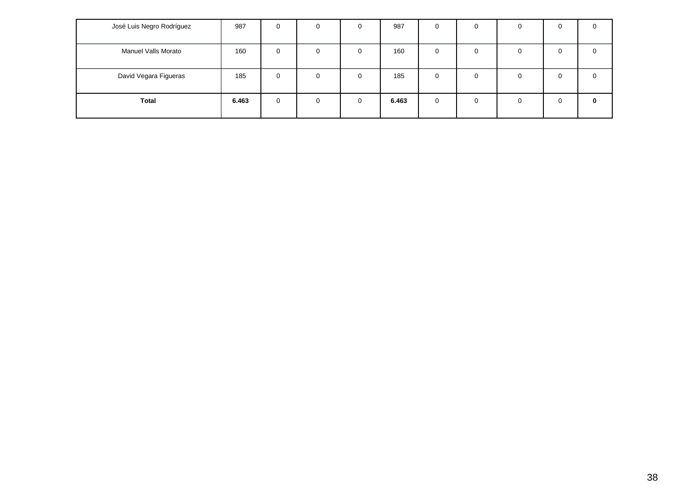| José Luis Negro Rodríguez | 987   | 0        | 0        | - 6          | 987   | 0 | $\Omega$ | 0 | 0 | O            |
|---------------------------|-------|----------|----------|--------------|-------|---|----------|---|---|--------------|
| Manuel Valls Morato       | 160   | $\Omega$ | $\Omega$ |              | 160   | 0 | $\Omega$ | 0 | 0 | O            |
| David Vegara Figueras     | 185   | 0        | 0        | <sup>0</sup> | 185   | 0 | $\Omega$ | 0 | 0 |              |
| <b>Total</b>              | 6.463 | $\Omega$ | $\Omega$ | $\Omega$     | 6.463 | 0 | $\Omega$ |   | 0 | $\mathbf{0}$ |